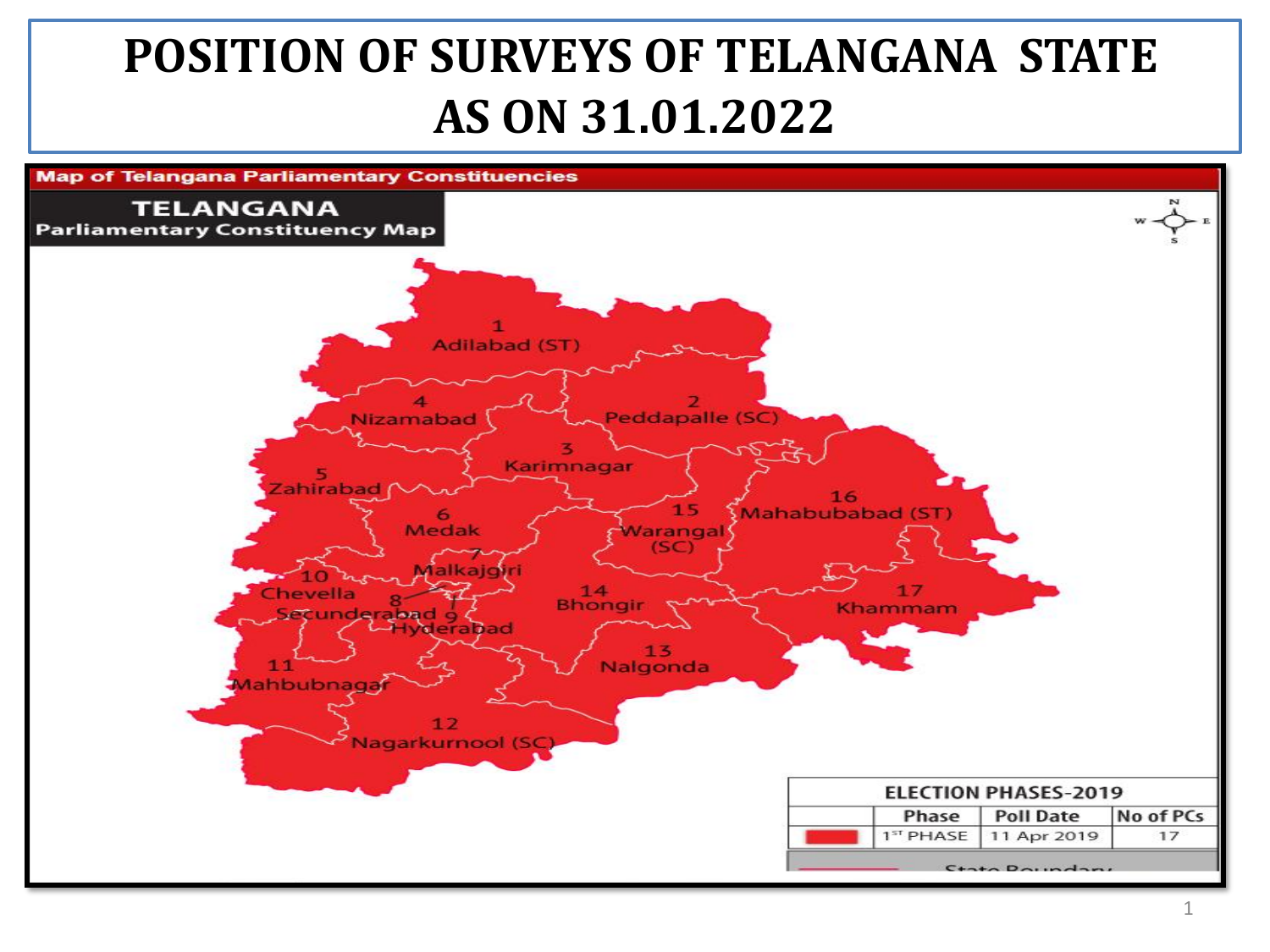## **POSITION OF SURVEYS OF TELANGANA STATE AS ON 31.01.2022**

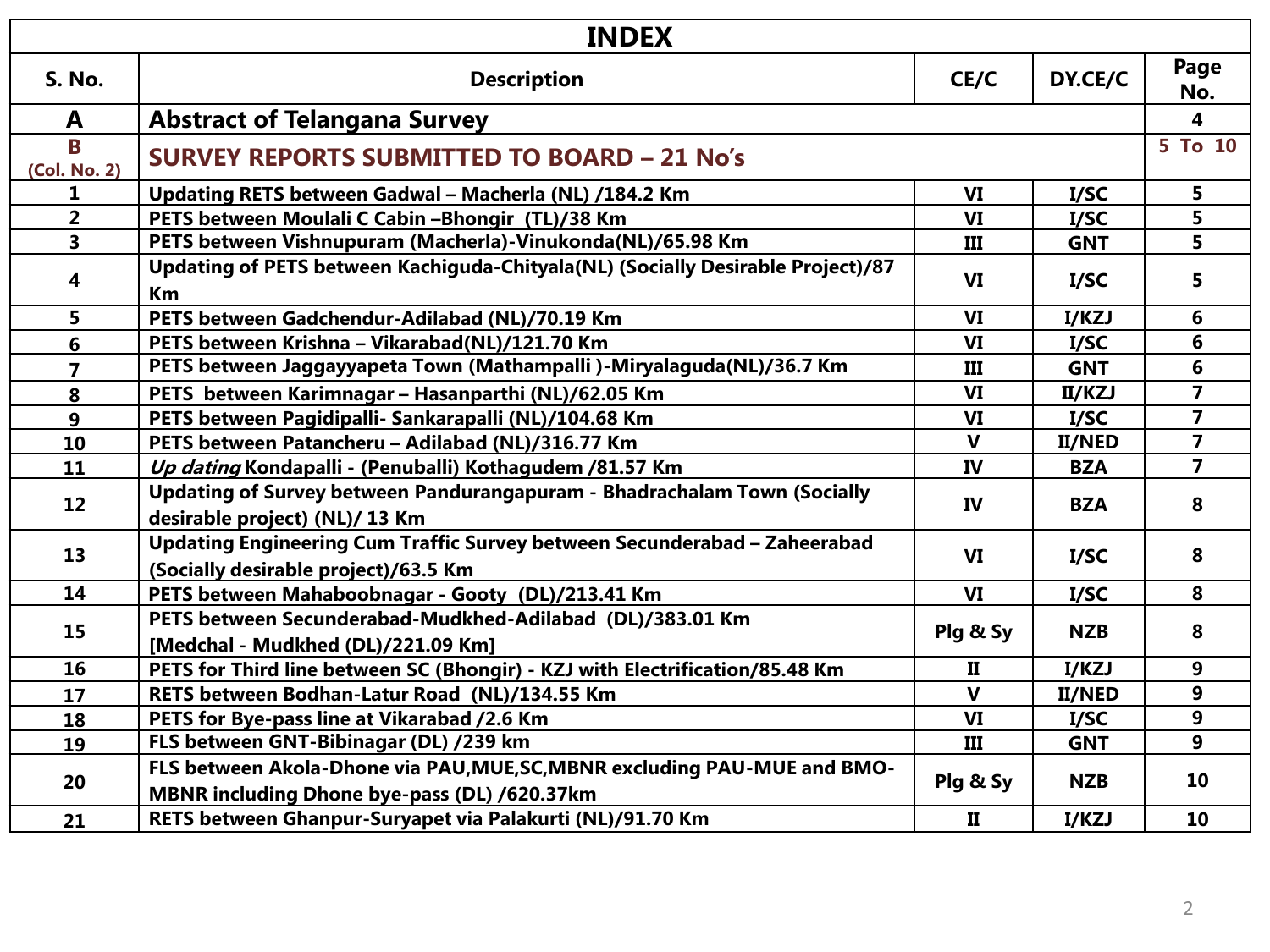| <b>INDEX</b>            |                                                                                                                                 |              |                         |                         |
|-------------------------|---------------------------------------------------------------------------------------------------------------------------------|--------------|-------------------------|-------------------------|
| <b>S. No.</b>           | <b>Description</b>                                                                                                              | CE/C         | DY.CE/C                 | Page<br>No.             |
| A                       | <b>Abstract of Telangana Survey</b>                                                                                             |              |                         | $\overline{\mathbf{4}}$ |
| B<br>(Col. No. 2)       | <b>SURVEY REPORTS SUBMITTED TO BOARD - 21 No's</b>                                                                              |              |                         | 5 To 10                 |
| 1                       | Updating RETS between Gadwal - Macherla (NL) /184.2 Km                                                                          | VI           | I/SC                    | 5.                      |
| $\overline{2}$          | PETS between Moulali C Cabin -Bhongir (TL)/38 Km                                                                                | VI           | I/SC                    | 5                       |
| $\overline{\mathbf{3}}$ | PETS between Vishnupuram (Macherla)-Vinukonda(NL)/65.98 Km                                                                      | Ш            | <b>GNT</b>              | 5                       |
| 4                       | Updating of PETS between Kachiguda-Chityala(NL) (Socially Desirable Project)/87<br>Km                                           | VI           | I/SC                    | 5                       |
| 5                       | PETS between Gadchendur-Adilabad (NL)/70.19 Km                                                                                  | <b>VI</b>    | I/KZJ                   | 6                       |
| 6                       | PETS between Krishna - Vikarabad(NL)/121.70 Km                                                                                  | VI           | I/SC                    | 6                       |
| $\overline{\mathbf{z}}$ | PETS between Jaggayyapeta Town (Mathampalli)-Miryalaguda(NL)/36.7 Km<br>Ш<br><b>GNT</b>                                         |              |                         | 6                       |
| 8                       | VI<br>PETS between Karimnagar - Hasanparthi (NL)/62.05 Km<br>II/KZJ                                                             |              | $\overline{\mathbf{7}}$ |                         |
| $\mathbf{9}$            | PETS between Pagidipalli- Sankarapalli (NL)/104.68 Km<br>VI<br>I/SC                                                             |              | $\overline{7}$          |                         |
| 10                      | PETS between Patancheru - Adilabad (NL)/316.77 Km                                                                               | $\mathbf{V}$ | <b>II/NED</b>           | $\overline{7}$          |
| 11                      | Up dating Kondapalli - (Penuballi) Kothagudem /81.57 Km                                                                         | IV           | <b>BZA</b>              | $\overline{7}$          |
| 12                      | Updating of Survey between Pandurangapuram - Bhadrachalam Town (Socially<br>IV<br><b>BZA</b><br>desirable project) (NL)/ 13 Km  |              |                         |                         |
| 13                      | Updating Engineering Cum Traffic Survey between Secunderabad - Zaheerabad<br>VI<br>I/SC<br>(Socially desirable project)/63.5 Km |              | 8                       |                         |
| 14                      | PETS between Mahaboobnagar - Gooty (DL)/213.41 Km                                                                               | VI           | I/SC                    | 8                       |
| 15                      | PETS between Secunderabad-Mudkhed-Adilabad (DL)/383.01 Km<br>Plg & Sy<br><b>NZB</b><br>[Medchal - Mudkhed (DL)/221.09 Km]       |              |                         |                         |
| 16                      | PETS for Third line between SC (Bhongir) - KZJ with Electrification/85.48 Km                                                    | $\mathbf{I}$ | I/KZJ                   | 9                       |
| 17                      | RETS between Bodhan-Latur Road (NL)/134.55 Km                                                                                   | $\mathbf{V}$ | <b>II/NED</b>           | 9                       |
| 18                      | PETS for Bye-pass line at Vikarabad /2.6 Km                                                                                     | VI           | I/SC                    | 9                       |
| 19                      | FLS between GNT-Bibinagar (DL) /239 km                                                                                          | III          | <b>GNT</b>              | 9                       |
| 20                      | FLS between Akola-Dhone via PAU, MUE, SC, MBNR excluding PAU-MUE and BMO-<br>MBNR including Dhone bye-pass (DL) /620.37km       | Plg & Sy     | <b>NZB</b>              | 10                      |
| 21                      | RETS between Ghanpur-Suryapet via Palakurti (NL)/91.70 Km                                                                       | П            | I/KZJ                   | 10                      |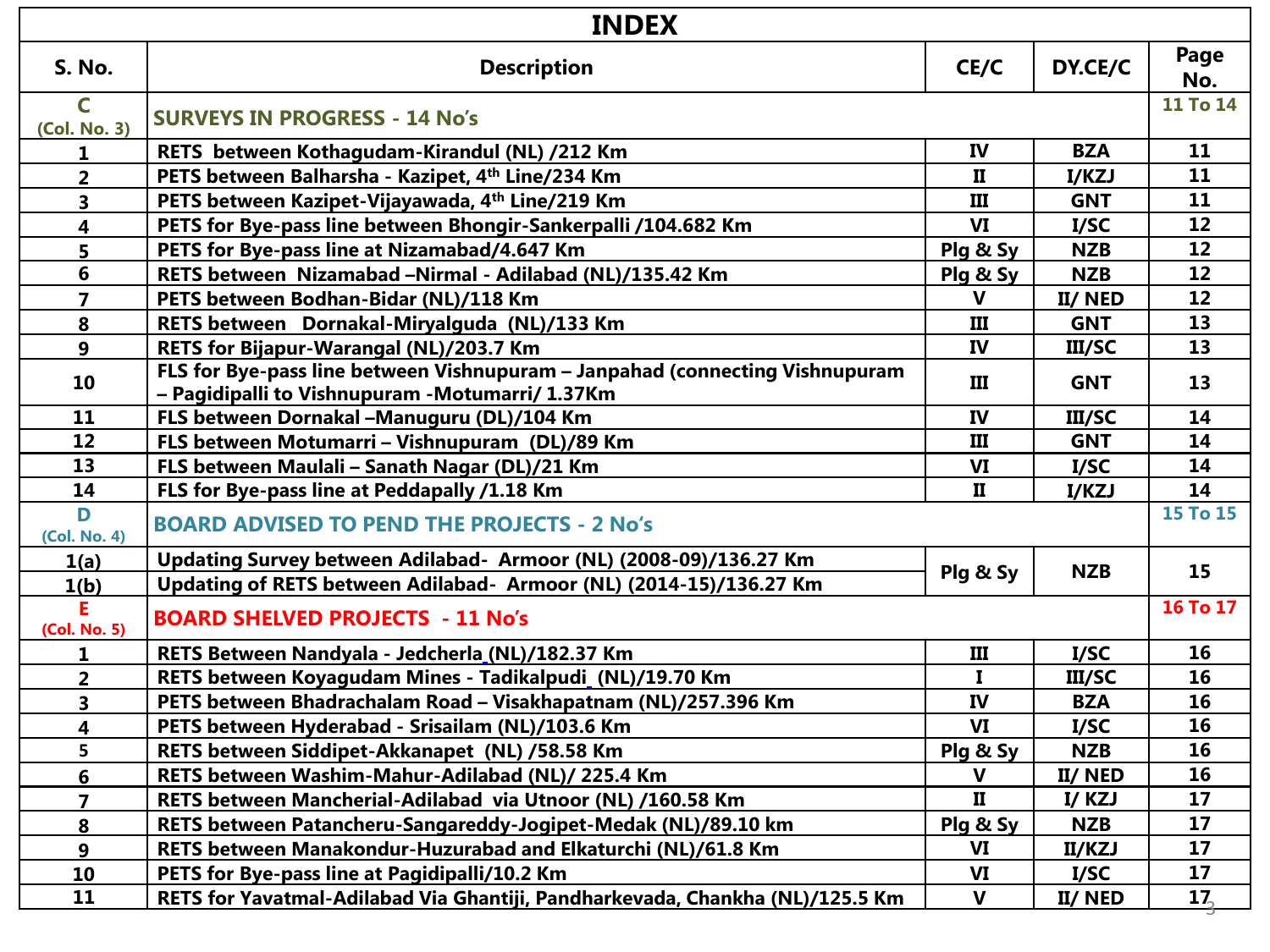| <b>INDEX</b>            |                                                                                                                                  |              |               |                 |
|-------------------------|----------------------------------------------------------------------------------------------------------------------------------|--------------|---------------|-----------------|
| <b>S. No.</b>           | <b>Description</b>                                                                                                               | CE/C         | DY.CE/C       | Page<br>No.     |
| C<br>(Col. No. 3)       | <b>SURVEYS IN PROGRESS - 14 No's</b>                                                                                             |              |               | 11 To 14        |
| 1                       | RETS between Kothagudam-Kirandul (NL) /212 Km                                                                                    | IV           | <b>BZA</b>    | 11              |
| $\overline{2}$          | PETS between Balharsha - Kazipet, 4th Line/234 Km                                                                                | $\mathbf{I}$ | I/KZJ         | 11              |
| 3                       | PETS between Kazipet-Vijayawada, 4th Line/219 Km                                                                                 | III          | <b>GNT</b>    | 11              |
| 4                       | PETS for Bye-pass line between Bhongir-Sankerpalli /104.682 Km                                                                   | VI           | I/SC          | 12              |
| 5                       | PETS for Bye-pass line at Nizamabad/4.647 Km                                                                                     | Plg & Sy     | <b>NZB</b>    | 12              |
| 6                       | RETS between Nizamabad -Nirmal - Adilabad (NL)/135.42 Km                                                                         | Plg & Sy     | <b>NZB</b>    | 12              |
| $\overline{7}$          | PETS between Bodhan-Bidar (NL)/118 Km                                                                                            | v            | II/NED        | 12              |
| 8                       | RETS between Dornakal-Miryalguda (NL)/133 Km                                                                                     | Ш            | <b>GNT</b>    | 13              |
| $\mathbf{9}$            | RETS for Bijapur-Warangal (NL)/203.7 Km                                                                                          | <b>IV</b>    | III/SC        | 13              |
| 10                      | FLS for Bye-pass line between Vishnupuram - Janpahad (connecting Vishnupuram<br>- Pagidipalli to Vishnupuram - Motumarri/ 1.37Km | Ш            | <b>GNT</b>    | 13              |
| 11                      | FLS between Dornakal -Manuguru (DL)/104 Km                                                                                       | <b>IV</b>    | III/SC        | 14              |
| 12                      | $\mathbf{III}$<br>FLS between Motumarri - Vishnupuram (DL)/89 Km<br><b>GNT</b>                                                   |              | 14            |                 |
| 13                      | FLS between Maulali - Sanath Nagar (DL)/21 Km<br><b>VI</b><br>I/SC                                                               |              | 14            |                 |
| 14                      | FLS for Bye-pass line at Peddapally /1.18 Km                                                                                     | $\mathbf{I}$ | I/KZJ         | 14              |
| D<br>(Col. No. 4)       | <b>BOARD ADVISED TO PEND THE PROJECTS - 2 No's</b>                                                                               |              |               | <b>15 To 15</b> |
| 1(a)                    | Updating Survey between Adilabad- Armoor (NL) (2008-09)/136.27 Km                                                                |              | <b>NZB</b>    | 15              |
| 1(b)                    | Updating of RETS between Adilabad- Armoor (NL) (2014-15)/136.27 Km                                                               | Plg & Sy     |               |                 |
| F.<br>(Col. No. 5)      | <b>BOARD SHELVED PROJECTS - 11 No's</b>                                                                                          |              |               | <b>16 To 17</b> |
| 1.                      | RETS Between Nandyala - Jedcherla (NL)/182.37 Km                                                                                 | III          | I/SC          | 16              |
| $\overline{2}$          | RETS between Koyagudam Mines - Tadikalpudi_(NL)/19.70 Km                                                                         | $\mathbf{I}$ | III/SC        | 16              |
| $\overline{\mathbf{3}}$ | PETS between Bhadrachalam Road - Visakhapatnam (NL)/257.396 Km                                                                   | <b>IV</b>    | <b>BZA</b>    | 16              |
| 4                       | PETS between Hyderabad - Srisailam (NL)/103.6 Km                                                                                 | <b>VI</b>    | I/SC          | 16              |
| 5                       | RETS between Siddipet-Akkanapet (NL) /58.58 Km                                                                                   | Plg & Sy     | <b>NZB</b>    | 16              |
| $6\phantom{a}$          | RETS between Washim-Mahur-Adilabad (NL)/ 225.4 Km                                                                                | $\mathbf{V}$ | II/NED        | 16              |
| $\overline{\mathbf{z}}$ | RETS between Mancherial-Adilabad via Utnoor (NL) /160.58 Km                                                                      | $\mathbf{I}$ | I/KZJ         | 17              |
| 8                       | RETS between Patancheru-Sangareddy-Jogipet-Medak (NL)/89.10 km                                                                   | Plg & Sy     | <b>NZB</b>    | 17              |
| 9                       | RETS between Manakondur-Huzurabad and Elkaturchi (NL)/61.8 Km                                                                    | VI           | <b>II/KZJ</b> | 17              |
| 10                      | PETS for Bye-pass line at Pagidipalli/10.2 Km                                                                                    | VI           | I/SC          | 17              |
| 11                      | RETS for Yavatmal-Adilabad Via Ghantiji, Pandharkevada, Chankha (NL)/125.5 Km                                                    | $\mathbf{V}$ | II/NED        | 17 <sub>2</sub> |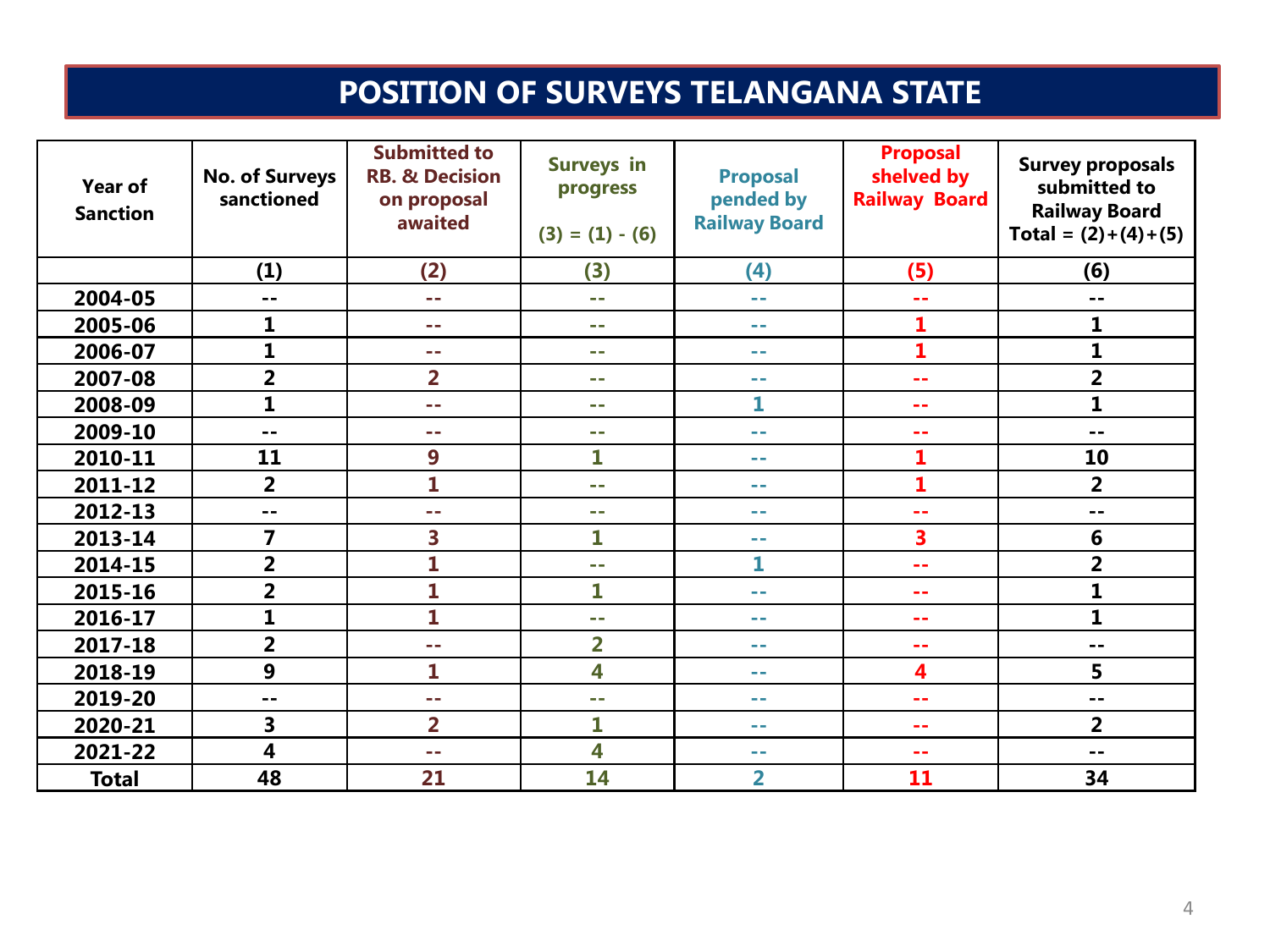## **POSITION OF SURVEYS TELANGANA STATE**

| Year of<br><b>Sanction</b> | <b>No. of Surveys</b><br>sanctioned | <b>Submitted to</b><br><b>RB. &amp; Decision</b><br>on proposal<br>awaited | <b>Surveys in</b><br>progress<br>$(3) = (1) - (6)$ | <b>Proposal</b><br>pended by<br><b>Railway Board</b> | <b>Proposal</b><br>shelved by<br><b>Railway Board</b> | <b>Survey proposals</b><br>submitted to<br><b>Railway Board</b><br>Total = $(2)+(4)+(5)$ |
|----------------------------|-------------------------------------|----------------------------------------------------------------------------|----------------------------------------------------|------------------------------------------------------|-------------------------------------------------------|------------------------------------------------------------------------------------------|
|                            | (1)                                 | (2)                                                                        | (3)                                                | (4)                                                  | (5)                                                   | (6)                                                                                      |
| 2004-05                    | $- -$                               | - -                                                                        | e er                                               | $\sim$ $-$                                           | $\sim$                                                | --                                                                                       |
| 2005-06                    | 1                                   | - -                                                                        | $\sim$ $-$                                         | $\sim$ $-$                                           | 1                                                     | 1                                                                                        |
| 2006-07                    | $\mathbf{1}$                        | - -                                                                        | e en                                               | $\sim$ $-$                                           | $\mathbf{1}$                                          | 1                                                                                        |
| 2007-08                    | $\overline{\mathbf{2}}$             | $\overline{2}$                                                             | m m                                                | $\sim$ $-$                                           | 44                                                    | $\overline{\mathbf{2}}$                                                                  |
| 2008-09                    | $\mathbf{1}$                        | a an                                                                       | e er                                               | 1                                                    | 44                                                    | $\overline{\mathbf{1}}$                                                                  |
| 2009-10                    | $-$                                 | a an                                                                       | mm.                                                | a a                                                  | --                                                    | --                                                                                       |
| 2010-11                    | 11                                  | 9                                                                          | 1                                                  | e e                                                  | 1                                                     | 10                                                                                       |
| 2011-12                    | $\overline{2}$                      | 1                                                                          | m m                                                | e e                                                  | 1                                                     | $\overline{2}$                                                                           |
| 2012-13                    | --                                  | - -                                                                        | m m                                                | e e                                                  | --                                                    | --                                                                                       |
| 2013-14                    | $\overline{7}$                      | 3                                                                          | 1                                                  | --                                                   | 3                                                     | 6                                                                                        |
| 2014-15                    | $\overline{2}$                      | $\mathbf 1$                                                                | - -                                                | 1                                                    | --                                                    | $\overline{\mathbf{2}}$                                                                  |
| 2015-16                    | $\overline{\mathbf{2}}$             | 1                                                                          | 1                                                  | --                                                   |                                                       | 1                                                                                        |
| 2016-17                    | $\mathbf{1}$                        | 1                                                                          | m m                                                | e e                                                  |                                                       | $\mathbf{1}$                                                                             |
| 2017-18                    | $\overline{2}$                      | a an                                                                       | 2                                                  | m m                                                  | --                                                    | --                                                                                       |
| 2018-19                    | 9                                   | 1                                                                          | 4                                                  | --                                                   | 4                                                     | 5                                                                                        |
| 2019-20                    | $- -$                               | a a                                                                        | e er                                               | --                                                   | --                                                    | $ -$                                                                                     |
| 2020-21                    | 3                                   | $\overline{2}$                                                             | 1                                                  | $\sim$ $-$                                           | --                                                    | $\overline{2}$                                                                           |
| 2021-22                    | 4                                   | - -                                                                        | 4                                                  | $\sim$ $-$                                           | --                                                    | --                                                                                       |
| <b>Total</b>               | 48                                  | 21                                                                         | 14                                                 | $\overline{2}$                                       | 11                                                    | 34                                                                                       |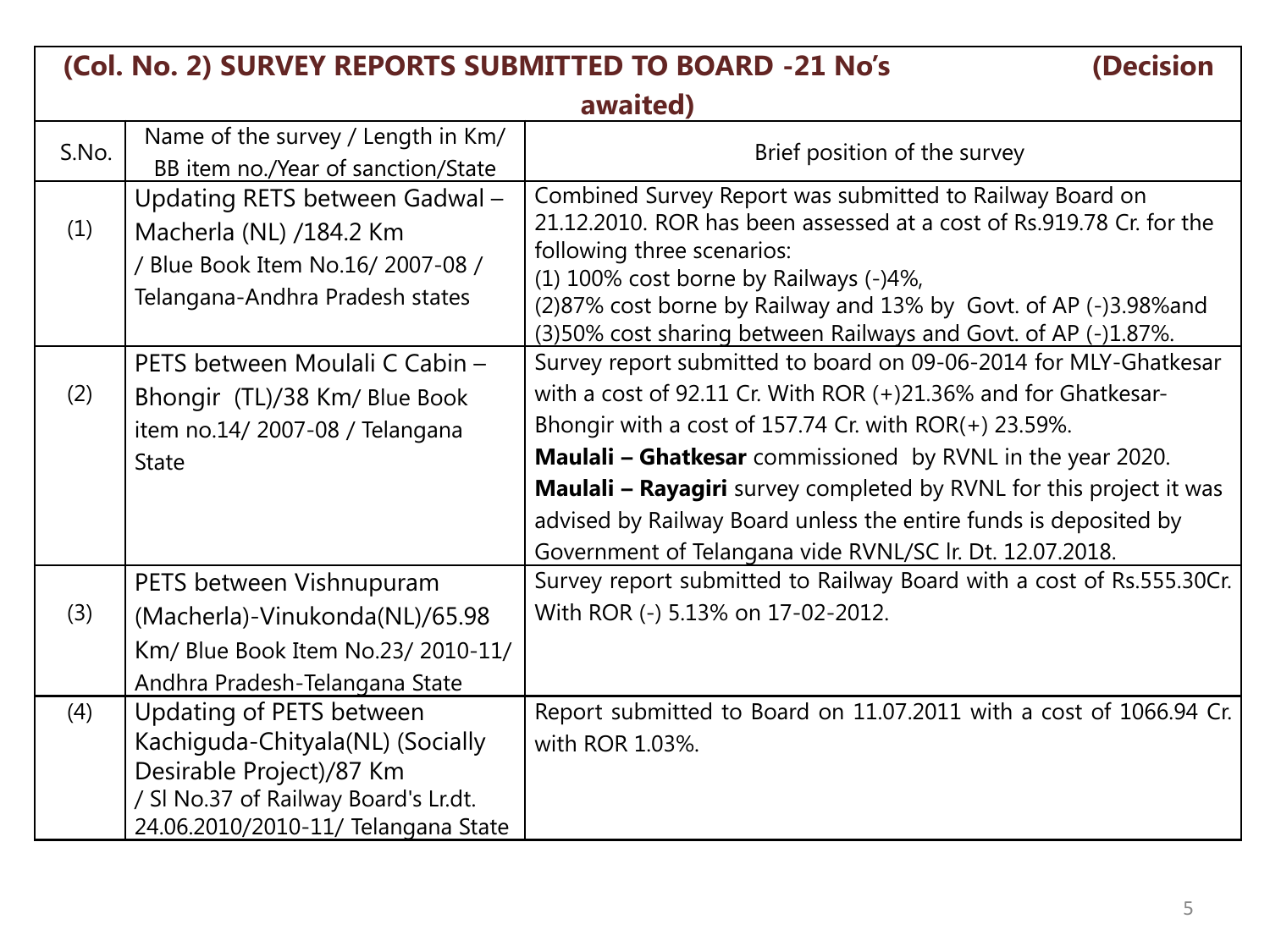|       | (Col. No. 2) SURVEY REPORTS SUBMITTED TO BOARD -21 No's                                                                                                                 | (Decision                                                                                                                                                                                                                                                                                                                                                                                                                                                                             |
|-------|-------------------------------------------------------------------------------------------------------------------------------------------------------------------------|---------------------------------------------------------------------------------------------------------------------------------------------------------------------------------------------------------------------------------------------------------------------------------------------------------------------------------------------------------------------------------------------------------------------------------------------------------------------------------------|
|       |                                                                                                                                                                         | awaited)                                                                                                                                                                                                                                                                                                                                                                                                                                                                              |
| S.No. | Name of the survey / Length in Km/<br>BB item no./Year of sanction/State                                                                                                | Brief position of the survey                                                                                                                                                                                                                                                                                                                                                                                                                                                          |
| (1)   | Updating RETS between Gadwal -<br>Macherla (NL) /184.2 Km<br>/ Blue Book Item No.16/ 2007-08 /<br>Telangana-Andhra Pradesh states                                       | Combined Survey Report was submitted to Railway Board on<br>21.12.2010. ROR has been assessed at a cost of Rs.919.78 Cr. for the<br>following three scenarios:<br>(1) 100% cost borne by Railways (-)4%,<br>(2)87% cost borne by Railway and 13% by Govt. of AP (-)3.98% and<br>(3)50% cost sharing between Railways and Govt. of AP (-)1.87%.                                                                                                                                        |
| (2)   | PETS between Moulali C Cabin -<br>Bhongir (TL)/38 Km/ Blue Book<br>item no.14/2007-08 / Telangana<br><b>State</b>                                                       | Survey report submitted to board on 09-06-2014 for MLY-Ghatkesar<br>with a cost of $92.11$ Cr. With ROR $(+)21.36\%$ and for Ghatkesar-<br>Bhongir with a cost of 157.74 Cr. with $ROR(+)$ 23.59%.<br><b>Maulali - Ghatkesar</b> commissioned by RVNL in the year 2020.<br><b>Maulali - Rayagiri</b> survey completed by RVNL for this project it was<br>advised by Railway Board unless the entire funds is deposited by<br>Government of Telangana vide RVNL/SC Ir. Dt. 12.07.2018. |
| (3)   | PETS between Vishnupuram<br>(Macherla)-Vinukonda(NL)/65.98<br>Km/ Blue Book Item No.23/ 2010-11/<br>Andhra Pradesh-Telangana State                                      | Survey report submitted to Railway Board with a cost of Rs.555.30Cr.<br>With ROR (-) 5.13% on 17-02-2012.                                                                                                                                                                                                                                                                                                                                                                             |
| (4)   | Updating of PETS between<br>Kachiguda-Chityala(NL) (Socially<br>Desirable Project)/87 Km<br>/ SI No.37 of Railway Board's Lr.dt.<br>24.06.2010/2010-11/ Telangana State | Report submitted to Board on 11.07.2011 with a cost of 1066.94 Cr.<br>with ROR 1.03%.                                                                                                                                                                                                                                                                                                                                                                                                 |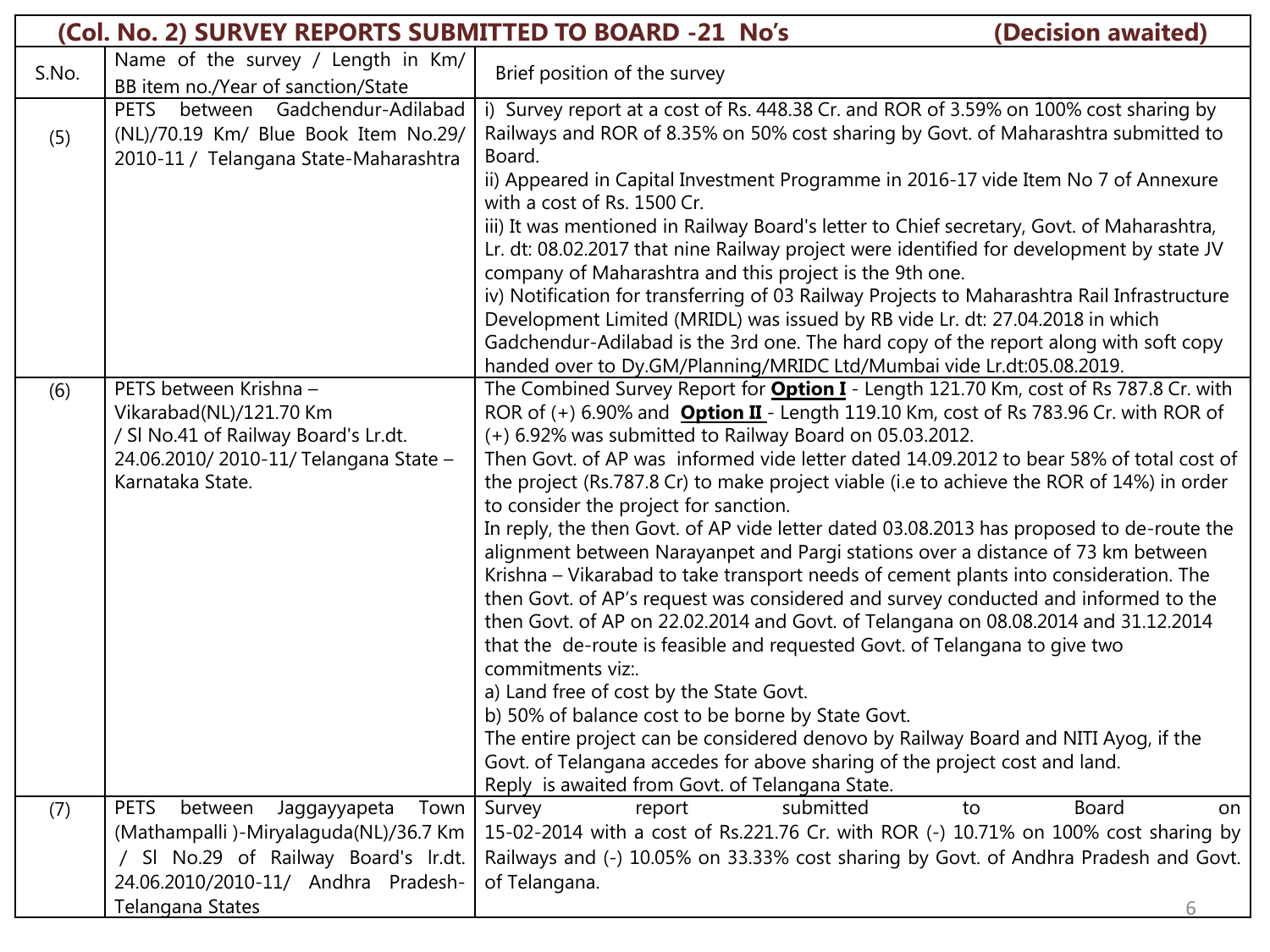|       | (Col. No. 2) SURVEY REPORTS SUBMITTED TO BOARD -21 No's                                                                                                |                                                                                                                                                                                                                                                                                                                                                                                                                                                                                                                                                                                                                                                                                                                                                                                                                                                                                                                                                                                                                                                                                                                                                                                                                                                                                                                                                                       | (Decision awaited)        |
|-------|--------------------------------------------------------------------------------------------------------------------------------------------------------|-----------------------------------------------------------------------------------------------------------------------------------------------------------------------------------------------------------------------------------------------------------------------------------------------------------------------------------------------------------------------------------------------------------------------------------------------------------------------------------------------------------------------------------------------------------------------------------------------------------------------------------------------------------------------------------------------------------------------------------------------------------------------------------------------------------------------------------------------------------------------------------------------------------------------------------------------------------------------------------------------------------------------------------------------------------------------------------------------------------------------------------------------------------------------------------------------------------------------------------------------------------------------------------------------------------------------------------------------------------------------|---------------------------|
| S.No. | Name of the survey / Length in Km/<br>BB item no./Year of sanction/State                                                                               | Brief position of the survey                                                                                                                                                                                                                                                                                                                                                                                                                                                                                                                                                                                                                                                                                                                                                                                                                                                                                                                                                                                                                                                                                                                                                                                                                                                                                                                                          |                           |
| (5)   | PETS between Gadchendur-Adilabad<br>(NL)/70.19 Km/ Blue Book Item No.29/<br>2010-11 / Telangana State-Maharashtra                                      | i) Survey report at a cost of Rs. 448.38 Cr. and ROR of 3.59% on 100% cost sharing by<br>Railways and ROR of 8.35% on 50% cost sharing by Govt. of Maharashtra submitted to<br>Board.                                                                                                                                                                                                                                                                                                                                                                                                                                                                                                                                                                                                                                                                                                                                                                                                                                                                                                                                                                                                                                                                                                                                                                                 |                           |
|       |                                                                                                                                                        | ii) Appeared in Capital Investment Programme in 2016-17 vide Item No 7 of Annexure<br>with a cost of Rs. 1500 Cr.                                                                                                                                                                                                                                                                                                                                                                                                                                                                                                                                                                                                                                                                                                                                                                                                                                                                                                                                                                                                                                                                                                                                                                                                                                                     |                           |
|       |                                                                                                                                                        | iii) It was mentioned in Railway Board's letter to Chief secretary, Govt. of Maharashtra,<br>Lr. dt: 08.02.2017 that nine Railway project were identified for development by state JV<br>company of Maharashtra and this project is the 9th one.                                                                                                                                                                                                                                                                                                                                                                                                                                                                                                                                                                                                                                                                                                                                                                                                                                                                                                                                                                                                                                                                                                                      |                           |
|       |                                                                                                                                                        | iv) Notification for transferring of 03 Railway Projects to Maharashtra Rail Infrastructure<br>Development Limited (MRIDL) was issued by RB vide Lr. dt: 27.04.2018 in which                                                                                                                                                                                                                                                                                                                                                                                                                                                                                                                                                                                                                                                                                                                                                                                                                                                                                                                                                                                                                                                                                                                                                                                          |                           |
|       |                                                                                                                                                        | Gadchendur-Adilabad is the 3rd one. The hard copy of the report along with soft copy<br>handed over to Dy.GM/Planning/MRIDC Ltd/Mumbai vide Lr.dt:05.08.2019.                                                                                                                                                                                                                                                                                                                                                                                                                                                                                                                                                                                                                                                                                                                                                                                                                                                                                                                                                                                                                                                                                                                                                                                                         |                           |
| (6)   | PETS between Krishna -<br>Vikarabad(NL)/121.70 Km<br>/ SI No.41 of Railway Board's Lr.dt.<br>24.06.2010/2010-11/ Telangana State -<br>Karnataka State. | The Combined Survey Report for <b>Option I</b> - Length 121.70 Km, cost of Rs 787.8 Cr. with<br>ROR of (+) 6.90% and <b>Option II</b> - Length 119.10 Km, cost of Rs 783.96 Cr. with ROR of<br>(+) 6.92% was submitted to Railway Board on 05.03.2012.<br>Then Govt. of AP was informed vide letter dated 14.09.2012 to bear 58% of total cost of<br>the project (Rs.787.8 Cr) to make project viable (i.e to achieve the ROR of 14%) in order<br>to consider the project for sanction.<br>In reply, the then Govt. of AP vide letter dated 03.08.2013 has proposed to de-route the<br>alignment between Narayanpet and Pargi stations over a distance of 73 km between<br>Krishna - Vikarabad to take transport needs of cement plants into consideration. The<br>then Govt. of AP's request was considered and survey conducted and informed to the<br>then Govt. of AP on 22.02.2014 and Govt. of Telangana on 08.08.2014 and 31.12.2014<br>that the de-route is feasible and requested Govt. of Telangana to give two<br>commitments viz:.<br>a) Land free of cost by the State Govt.<br>b) 50% of balance cost to be borne by State Govt.<br>The entire project can be considered denovo by Railway Board and NITI Ayog, if the<br>Govt. of Telangana accedes for above sharing of the project cost and land.<br>Reply is awaited from Govt. of Telangana State. |                           |
| (7)   | between<br>Jaggayyapeta<br>PETS<br>Town                                                                                                                | Survey<br>submitted<br>report                                                                                                                                                                                                                                                                                                                                                                                                                                                                                                                                                                                                                                                                                                                                                                                                                                                                                                                                                                                                                                                                                                                                                                                                                                                                                                                                         | <b>Board</b><br>to<br>on. |
|       | (Mathampalli)-Miryalaguda(NL)/36.7 Km                                                                                                                  | 15-02-2014 with a cost of Rs.221.76 Cr. with ROR (-) 10.71% on 100% cost sharing by                                                                                                                                                                                                                                                                                                                                                                                                                                                                                                                                                                                                                                                                                                                                                                                                                                                                                                                                                                                                                                                                                                                                                                                                                                                                                   |                           |
|       | / SI No.29 of Railway Board's Ir.dt.<br>24.06.2010/2010-11/ Andhra Pradesh-                                                                            | Railways and (-) 10.05% on 33.33% cost sharing by Govt. of Andhra Pradesh and Govt.<br>of Telangana.                                                                                                                                                                                                                                                                                                                                                                                                                                                                                                                                                                                                                                                                                                                                                                                                                                                                                                                                                                                                                                                                                                                                                                                                                                                                  |                           |
|       | Telangana States                                                                                                                                       |                                                                                                                                                                                                                                                                                                                                                                                                                                                                                                                                                                                                                                                                                                                                                                                                                                                                                                                                                                                                                                                                                                                                                                                                                                                                                                                                                                       | 6                         |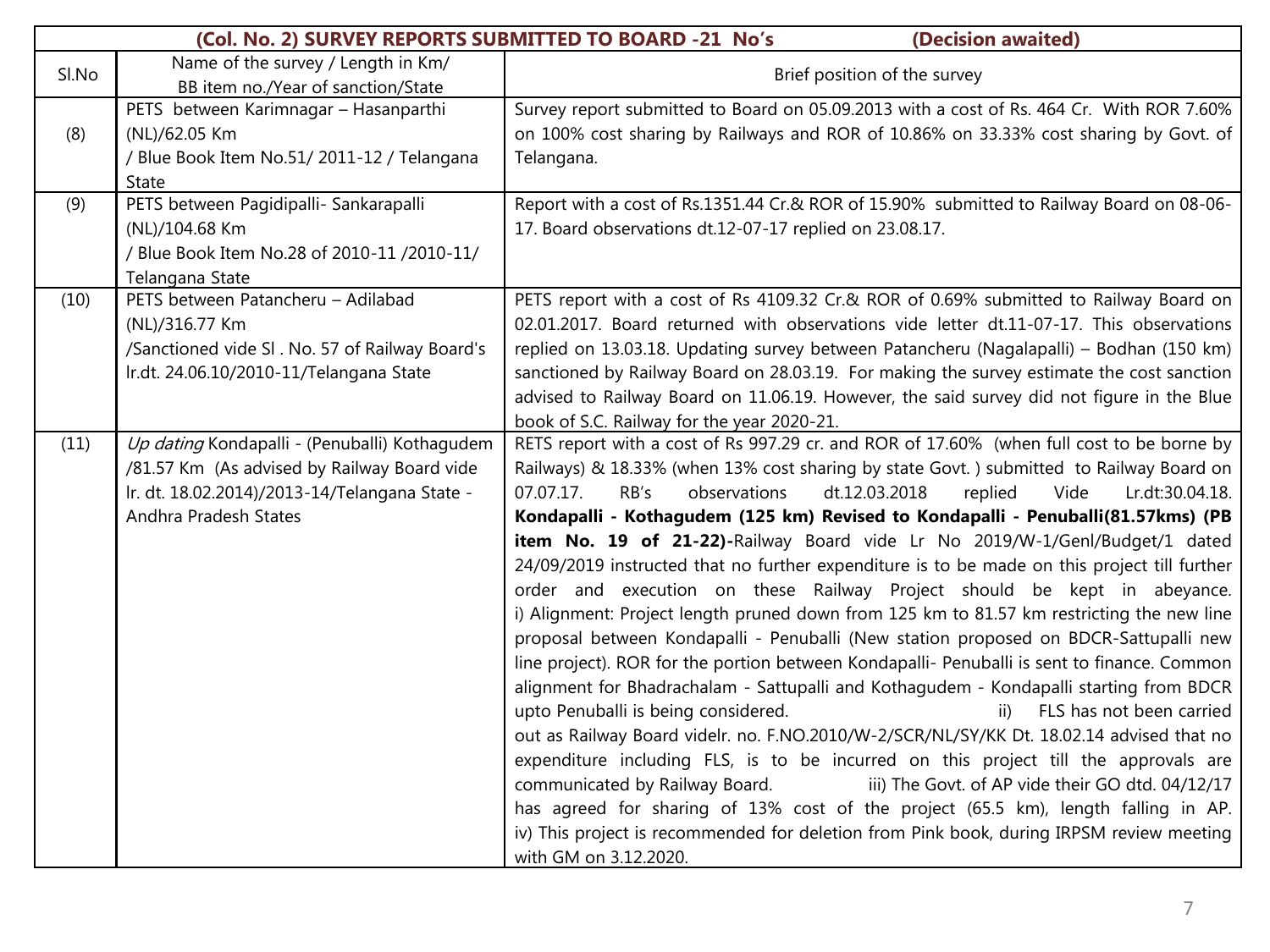|       | (Col. No. 2) SURVEY REPORTS SUBMITTED TO BOARD -21 No's<br>(Decision awaited) |                                                                                              |  |
|-------|-------------------------------------------------------------------------------|----------------------------------------------------------------------------------------------|--|
| Sl.No | Name of the survey / Length in Km/                                            | Brief position of the survey                                                                 |  |
|       | BB item no./Year of sanction/State                                            |                                                                                              |  |
|       | PETS between Karimnagar - Hasanparthi                                         | Survey report submitted to Board on 05.09.2013 with a cost of Rs. 464 Cr. With ROR 7.60%     |  |
| (8)   | (NL)/62.05 Km                                                                 | on 100% cost sharing by Railways and ROR of 10.86% on 33.33% cost sharing by Govt. of        |  |
|       | / Blue Book Item No.51/2011-12 / Telangana                                    | Telangana.                                                                                   |  |
|       | State                                                                         |                                                                                              |  |
| (9)   | PETS between Pagidipalli- Sankarapalli                                        | Report with a cost of Rs.1351.44 Cr.& ROR of 15.90% submitted to Railway Board on 08-06-     |  |
|       | (NL)/104.68 Km                                                                | 17. Board observations dt.12-07-17 replied on 23.08.17.                                      |  |
|       | / Blue Book Item No.28 of 2010-11 /2010-11/                                   |                                                                                              |  |
|       | Telangana State                                                               |                                                                                              |  |
| (10)  | PETS between Patancheru - Adilabad                                            | PETS report with a cost of Rs 4109.32 Cr.& ROR of 0.69% submitted to Railway Board on        |  |
|       | (NL)/316.77 Km                                                                | 02.01.2017. Board returned with observations vide letter dt.11-07-17. This observations      |  |
|       | /Sanctioned vide SI . No. 57 of Railway Board's                               | replied on 13.03.18. Updating survey between Patancheru (Nagalapalli) - Bodhan (150 km)      |  |
|       | Ir.dt. 24.06.10/2010-11/Telangana State                                       | sanctioned by Railway Board on 28.03.19. For making the survey estimate the cost sanction    |  |
|       |                                                                               | advised to Railway Board on 11.06.19. However, the said survey did not figure in the Blue    |  |
|       |                                                                               | book of S.C. Railway for the year 2020-21.                                                   |  |
| (11)  | Up dating Kondapalli - (Penuballi) Kothagudem                                 | RETS report with a cost of Rs 997.29 cr. and ROR of 17.60% (when full cost to be borne by    |  |
|       | /81.57 Km (As advised by Railway Board vide                                   | Railways) & 18.33% (when 13% cost sharing by state Govt.) submitted to Railway Board on      |  |
|       | Ir. dt. 18.02.2014)/2013-14/Telangana State -                                 | 07.07.17.<br>RB's<br>observations<br>dt.12.03.2018<br>replied<br>Vide<br>Lr.dt:30.04.18.     |  |
|       | Andhra Pradesh States                                                         | Kondapalli - Kothagudem (125 km) Revised to Kondapalli - Penuballi(81.57kms) (PB             |  |
|       |                                                                               | item No. 19 of 21-22)-Railway Board vide Lr No 2019/W-1/Genl/Budget/1 dated                  |  |
|       |                                                                               | 24/09/2019 instructed that no further expenditure is to be made on this project till further |  |
|       |                                                                               | order and execution on these Railway Project should be kept in abeyance.                     |  |
|       |                                                                               | i) Alignment: Project length pruned down from 125 km to 81.57 km restricting the new line    |  |
|       |                                                                               | proposal between Kondapalli - Penuballi (New station proposed on BDCR-Sattupalli new         |  |
|       |                                                                               | line project). ROR for the portion between Kondapalli- Penuballi is sent to finance. Common  |  |
|       |                                                                               | alignment for Bhadrachalam - Sattupalli and Kothagudem - Kondapalli starting from BDCR       |  |
|       |                                                                               | upto Penuballi is being considered.<br>ii) FLS has not been carried                          |  |
|       |                                                                               | out as Railway Board videlr. no. F.NO.2010/W-2/SCR/NL/SY/KK Dt. 18.02.14 advised that no     |  |
|       |                                                                               | expenditure including FLS, is to be incurred on this project till the approvals are          |  |
|       |                                                                               | iii) The Govt. of AP vide their GO dtd. 04/12/17<br>communicated by Railway Board.           |  |
|       |                                                                               | has agreed for sharing of 13% cost of the project (65.5 km), length falling in AP.           |  |
|       |                                                                               | iv) This project is recommended for deletion from Pink book, during IRPSM review meeting     |  |
|       |                                                                               | with GM on 3.12.2020.                                                                        |  |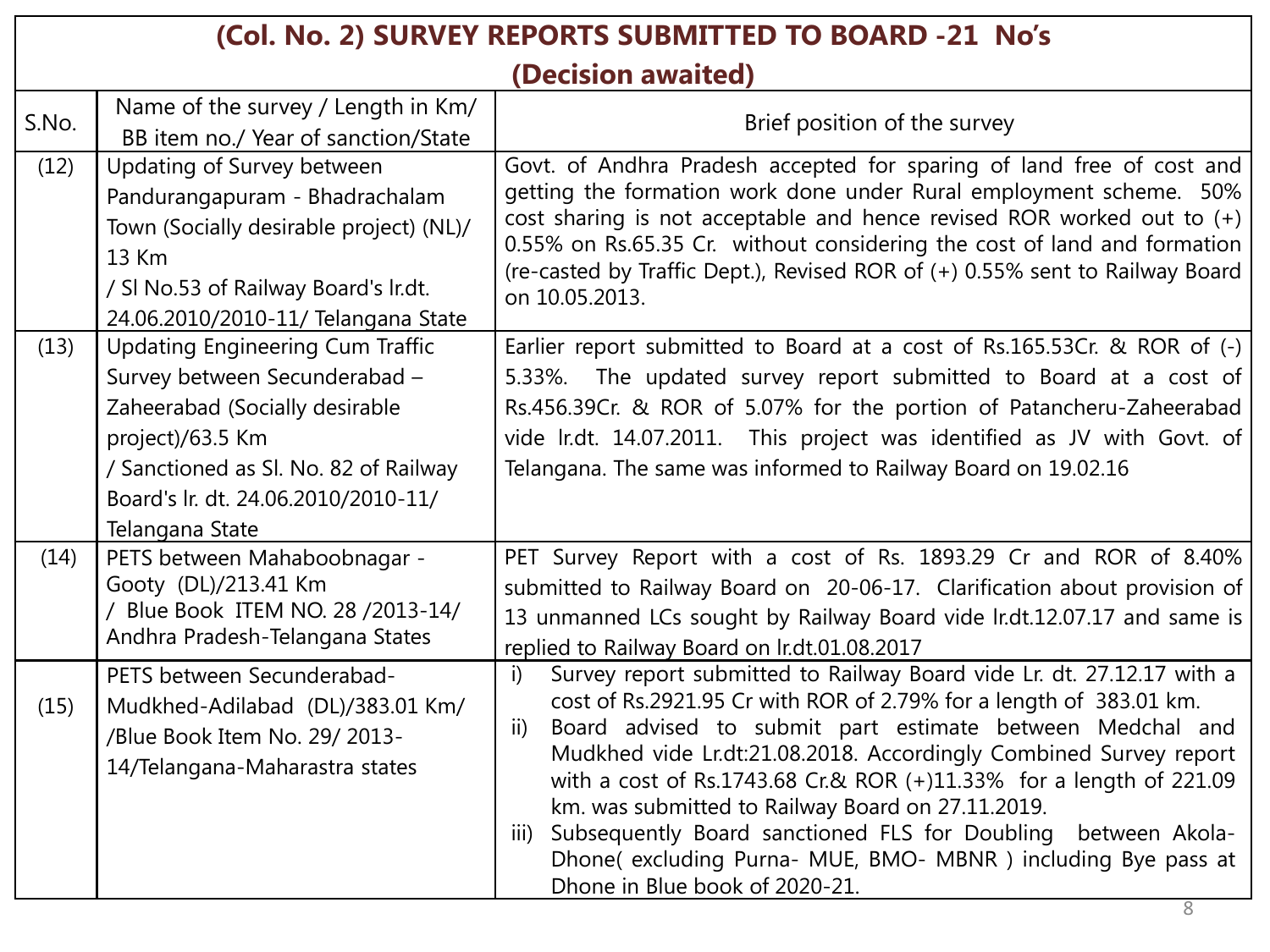|       | (Col. No. 2) SURVEY REPORTS SUBMITTED TO BOARD -21 No's                                                                                                                                                                           |                                                                                                                                                                                                                                                                                                                                                                                                                                                                                                                                                                                                       |  |
|-------|-----------------------------------------------------------------------------------------------------------------------------------------------------------------------------------------------------------------------------------|-------------------------------------------------------------------------------------------------------------------------------------------------------------------------------------------------------------------------------------------------------------------------------------------------------------------------------------------------------------------------------------------------------------------------------------------------------------------------------------------------------------------------------------------------------------------------------------------------------|--|
|       | (Decision awaited)                                                                                                                                                                                                                |                                                                                                                                                                                                                                                                                                                                                                                                                                                                                                                                                                                                       |  |
| S.No. | Name of the survey / Length in Km/<br>BB item no./ Year of sanction/State                                                                                                                                                         | Brief position of the survey                                                                                                                                                                                                                                                                                                                                                                                                                                                                                                                                                                          |  |
| (12)  | Updating of Survey between<br>Pandurangapuram - Bhadrachalam<br>Town (Socially desirable project) (NL)/<br>13 Km<br>/ SI No.53 of Railway Board's Ir.dt.<br>24.06.2010/2010-11/ Telangana State                                   | Govt. of Andhra Pradesh accepted for sparing of land free of cost and<br>getting the formation work done under Rural employment scheme. 50%<br>cost sharing is not acceptable and hence revised ROR worked out to (+)<br>0.55% on Rs.65.35 Cr. without considering the cost of land and formation<br>(re-casted by Traffic Dept.), Revised ROR of (+) 0.55% sent to Railway Board<br>on 10.05.2013.                                                                                                                                                                                                   |  |
| (13)  | <b>Updating Engineering Cum Traffic</b><br>Survey between Secunderabad -<br>Zaheerabad (Socially desirable<br>project)/63.5 Km<br>/ Sanctioned as Sl. No. 82 of Railway<br>Board's lr. dt. 24.06.2010/2010-11/<br>Telangana State | Earlier report submitted to Board at a cost of Rs.165.53Cr. & ROR of (-)<br>5.33%. The updated survey report submitted to Board at a cost of<br>Rs.456.39Cr. & ROR of 5.07% for the portion of Patancheru-Zaheerabad<br>vide Ir.dt. 14.07.2011. This project was identified as JV with Govt. of<br>Telangana. The same was informed to Railway Board on 19.02.16                                                                                                                                                                                                                                      |  |
| (14)  | PETS between Mahaboobnagar -<br>Gooty (DL)/213.41 Km<br>Blue Book ITEM NO. 28 / 2013-14/<br>Andhra Pradesh-Telangana States                                                                                                       | PET Survey Report with a cost of Rs. 1893.29 Cr and ROR of 8.40%<br>submitted to Railway Board on 20-06-17. Clarification about provision of<br>13 unmanned LCs sought by Railway Board vide lr.dt.12.07.17 and same is<br>replied to Railway Board on Ir.dt.01.08.2017                                                                                                                                                                                                                                                                                                                               |  |
| (15)  | PETS between Secunderabad-<br>Mudkhed-Adilabad (DL)/383.01 Km/<br>/Blue Book Item No. 29/2013-<br>14/Telangana-Maharastra states                                                                                                  | Survey report submitted to Railway Board vide Lr. dt. 27.12.17 with a<br>i)<br>cost of Rs.2921.95 Cr with ROR of 2.79% for a length of 383.01 km.<br>Board advised to submit part estimate between Medchal and<br>ii)<br>Mudkhed vide Lr.dt:21.08.2018. Accordingly Combined Survey report<br>with a cost of Rs.1743.68 Cr.& ROR (+)11.33% for a length of 221.09<br>km. was submitted to Railway Board on 27.11.2019.<br>Subsequently Board sanctioned FLS for Doubling<br>between Akola-<br>iii)<br>Dhone( excluding Purna- MUE, BMO- MBNR) including Bye pass at<br>Dhone in Blue book of 2020-21. |  |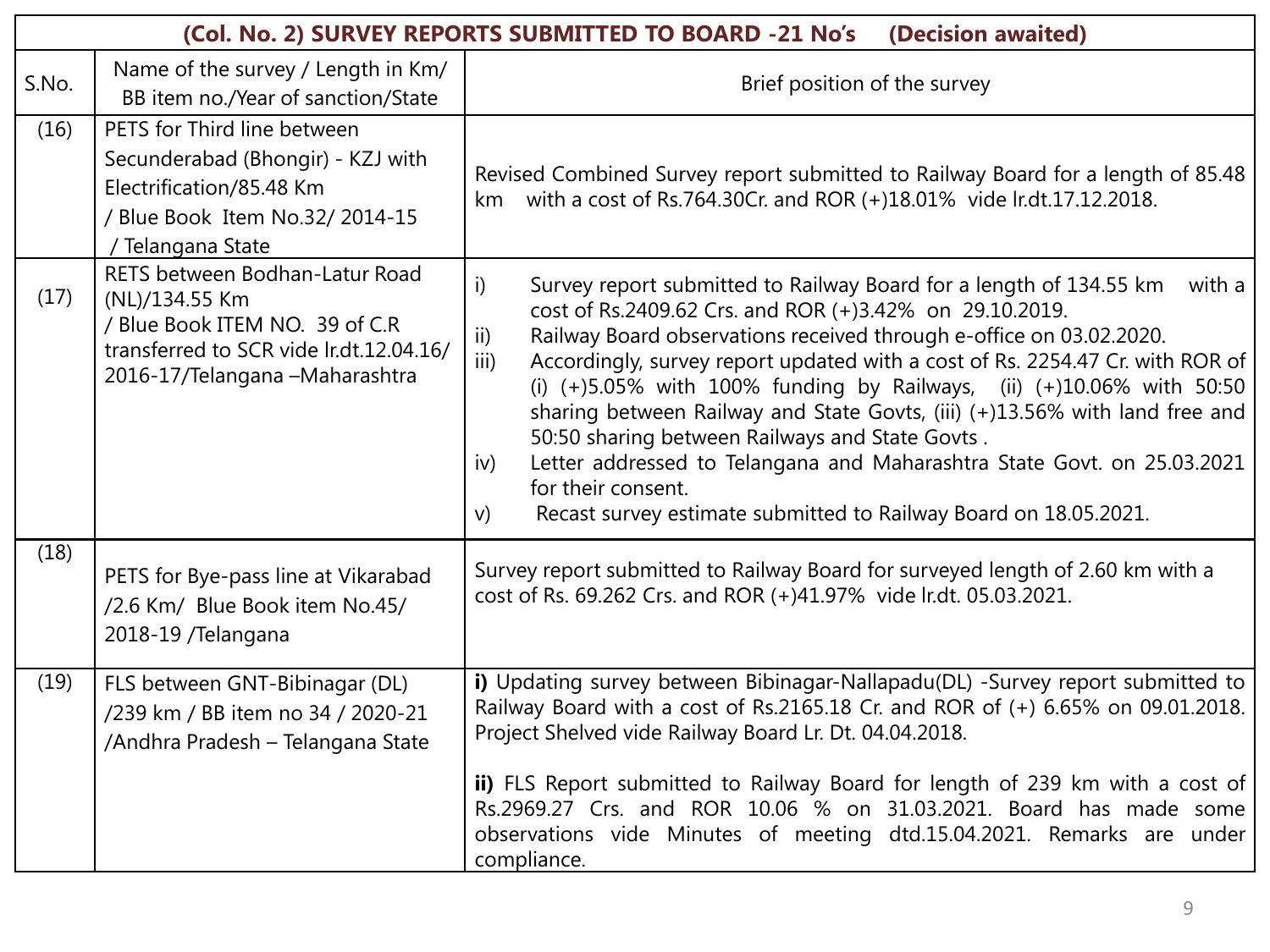|       | (Col. No. 2) SURVEY REPORTS SUBMITTED TO BOARD -21 No's<br>(Decision awaited)                                                                                    |                                                                                                                                                                                                                                                                                                                                                                                                                                                                                                                                                                                                                                                                                                                               |  |
|-------|------------------------------------------------------------------------------------------------------------------------------------------------------------------|-------------------------------------------------------------------------------------------------------------------------------------------------------------------------------------------------------------------------------------------------------------------------------------------------------------------------------------------------------------------------------------------------------------------------------------------------------------------------------------------------------------------------------------------------------------------------------------------------------------------------------------------------------------------------------------------------------------------------------|--|
| S.No. | Name of the survey / Length in Km/<br>BB item no./Year of sanction/State                                                                                         | Brief position of the survey                                                                                                                                                                                                                                                                                                                                                                                                                                                                                                                                                                                                                                                                                                  |  |
| (16)  | PETS for Third line between<br>Secunderabad (Bhongir) - KZJ with<br>Electrification/85.48 Km<br>/ Blue Book Item No.32/ 2014-15<br>Telangana State               | Revised Combined Survey report submitted to Railway Board for a length of 85.48<br>km with a cost of Rs.764.30Cr. and ROR (+)18.01% vide lr.dt.17.12.2018.                                                                                                                                                                                                                                                                                                                                                                                                                                                                                                                                                                    |  |
| (17)  | RETS between Bodhan-Latur Road<br>(NL)/134.55 Km<br>/ Blue Book ITEM NO. 39 of C.R<br>transferred to SCR vide lr.dt.12.04.16/<br>2016-17/Telangana - Maharashtra | Survey report submitted to Railway Board for a length of 134.55 km<br>i)<br>with a<br>cost of Rs.2409.62 Crs. and ROR (+)3.42% on 29.10.2019.<br>$\overline{ii}$<br>Railway Board observations received through e-office on 03.02.2020.<br>iii)<br>Accordingly, survey report updated with a cost of Rs. 2254.47 Cr. with ROR of<br>(i) (+)5.05% with 100% funding by Railways, (ii) (+)10.06% with 50:50<br>sharing between Railway and State Govts, (iii) (+)13.56% with land free and<br>50:50 sharing between Railways and State Govts.<br>Letter addressed to Telangana and Maharashtra State Govt. on 25.03.2021<br>iv)<br>for their consent.<br>Recast survey estimate submitted to Railway Board on 18.05.2021.<br>V) |  |
| (18)  | PETS for Bye-pass line at Vikarabad<br>/2.6 Km/ Blue Book item No.45/<br>2018-19 / Telangana                                                                     | Survey report submitted to Railway Board for surveyed length of 2.60 km with a<br>cost of Rs. 69.262 Crs. and ROR (+)41.97% vide lr.dt. 05.03.2021.                                                                                                                                                                                                                                                                                                                                                                                                                                                                                                                                                                           |  |
| (19)  | FLS between GNT-Bibinagar (DL)<br>/239 km / BB item no 34 / 2020-21<br>/Andhra Pradesh - Telangana State                                                         | i) Updating survey between Bibinagar-Nallapadu(DL) -Survey report submitted to<br>Railway Board with a cost of Rs.2165.18 Cr. and ROR of (+) 6.65% on 09.01.2018.<br>Project Shelved vide Railway Board Lr. Dt. 04.04.2018.<br>ii) FLS Report submitted to Railway Board for length of 239 km with a cost of<br>Rs.2969.27 Crs. and ROR 10.06 % on 31.03.2021. Board has made some<br>observations vide Minutes of meeting dtd.15.04.2021. Remarks are under<br>compliance.                                                                                                                                                                                                                                                   |  |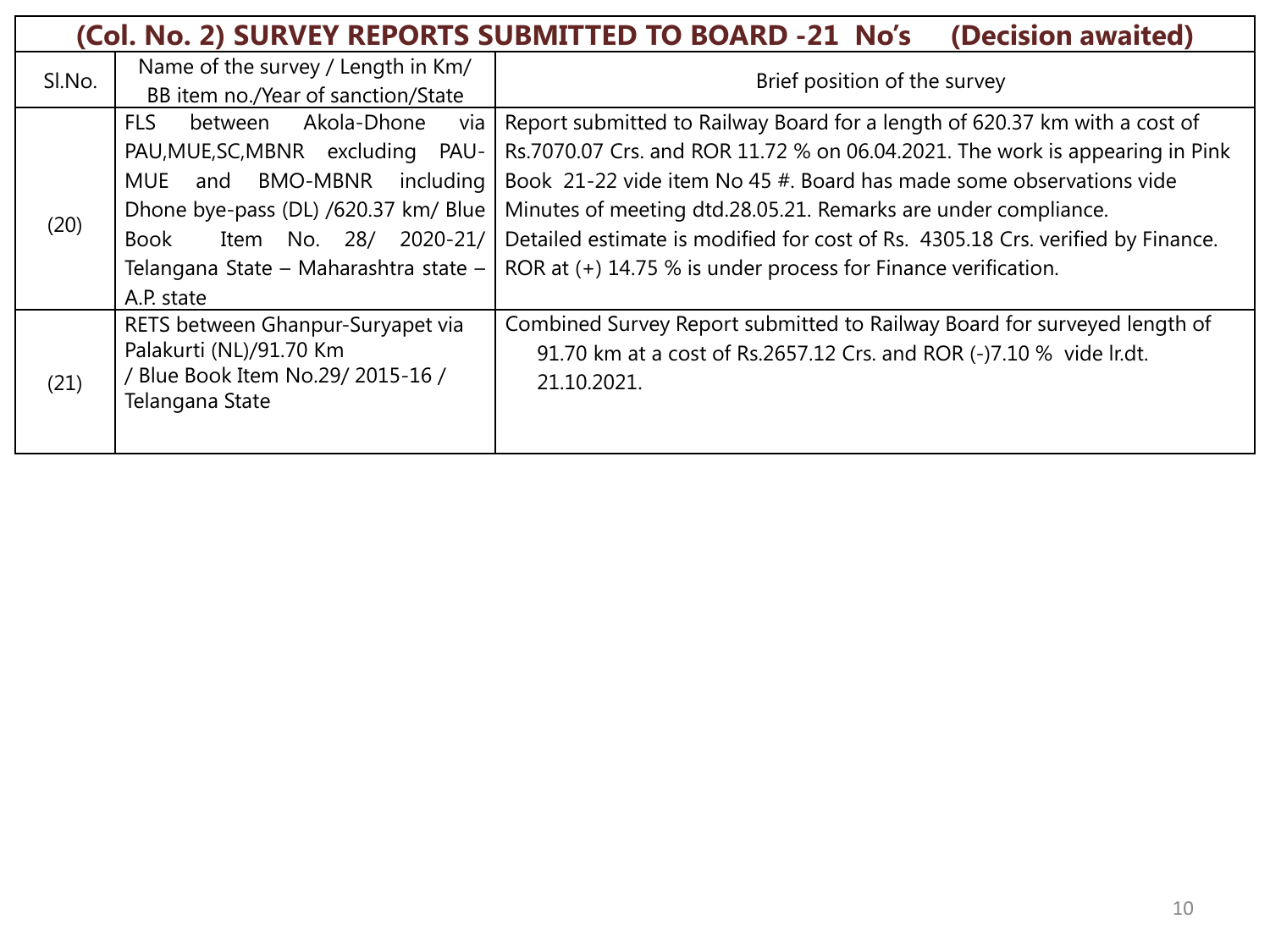|        |                                                                                                                                                                                                                                                            | (Col. No. 2) SURVEY REPORTS SUBMITTED TO BOARD -21 No's<br>(Decision awaited)                                                                                                                                                                                                                                                                                                                                                                           |
|--------|------------------------------------------------------------------------------------------------------------------------------------------------------------------------------------------------------------------------------------------------------------|---------------------------------------------------------------------------------------------------------------------------------------------------------------------------------------------------------------------------------------------------------------------------------------------------------------------------------------------------------------------------------------------------------------------------------------------------------|
| SI.No. | Name of the survey / Length in Km/<br>BB item no./Year of sanction/State                                                                                                                                                                                   | Brief position of the survey                                                                                                                                                                                                                                                                                                                                                                                                                            |
| (20)   | <b>FLS</b><br>Akola-Dhone<br>between<br>via<br>PAU, MUE, SC, MBNR excluding PAU-<br>BMO-MBNR<br>MUE<br>including<br>and<br>Dhone bye-pass (DL) /620.37 km/ Blue<br>2020-21/<br>Item No. 28/<br>Book<br>Telangana State - Maharashtra state -<br>A.P. state | Report submitted to Railway Board for a length of 620.37 km with a cost of<br>Rs.7070.07 Crs. and ROR 11.72 % on 06.04.2021. The work is appearing in Pink<br>Book 21-22 vide item No 45 #. Board has made some observations vide<br>Minutes of meeting dtd.28.05.21. Remarks are under compliance.<br>Detailed estimate is modified for cost of Rs. 4305.18 Crs. verified by Finance.<br>ROR at (+) 14.75 % is under process for Finance verification. |
| (21)   | RETS between Ghanpur-Suryapet via<br>Palakurti (NL)/91.70 Km<br>/ Blue Book Item No.29/ 2015-16 /<br>Telangana State                                                                                                                                       | Combined Survey Report submitted to Railway Board for surveyed length of<br>91.70 km at a cost of Rs.2657.12 Crs. and ROR (-)7.10 % vide lr.dt.<br>21.10.2021.                                                                                                                                                                                                                                                                                          |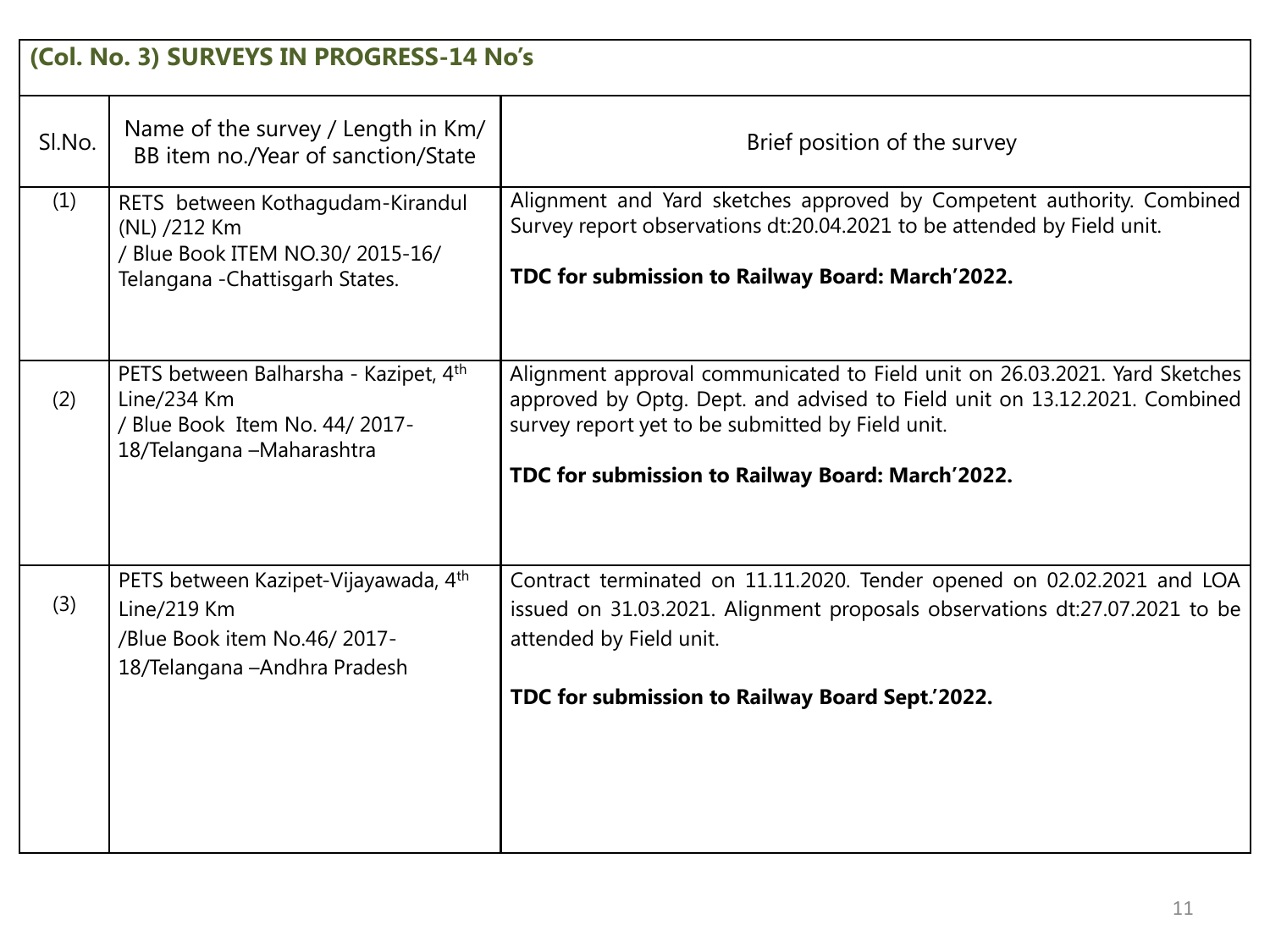|        | (Col. No. 3) SURVEYS IN PROGRESS-14 No's                                                                                |                                                                                                                                                                                                                                                                 |
|--------|-------------------------------------------------------------------------------------------------------------------------|-----------------------------------------------------------------------------------------------------------------------------------------------------------------------------------------------------------------------------------------------------------------|
| SI.No. | Name of the survey / Length in Km/<br>BB item no./Year of sanction/State                                                | Brief position of the survey                                                                                                                                                                                                                                    |
| (1)    | RETS between Kothagudam-Kirandul<br>(NL) /212 Km<br>/ Blue Book ITEM NO.30/ 2015-16/<br>Telangana - Chattisgarh States. | Alignment and Yard sketches approved by Competent authority. Combined<br>Survey report observations dt:20.04.2021 to be attended by Field unit.<br>TDC for submission to Railway Board: March'2022.                                                             |
| (2)    | PETS between Balharsha - Kazipet, 4th<br>Line/234 Km<br>/ Blue Book Item No. 44/ 2017-<br>18/Telangana - Maharashtra    | Alignment approval communicated to Field unit on 26.03.2021. Yard Sketches<br>approved by Optg. Dept. and advised to Field unit on 13.12.2021. Combined<br>survey report yet to be submitted by Field unit.<br>TDC for submission to Railway Board: March'2022. |
| (3)    | PETS between Kazipet-Vijayawada, 4th<br>Line/219 Km<br>/Blue Book item No.46/2017-<br>18/Telangana - Andhra Pradesh     | Contract terminated on 11.11.2020. Tender opened on 02.02.2021 and LOA<br>issued on 31.03.2021. Alignment proposals observations dt:27.07.2021 to be<br>attended by Field unit.<br>TDC for submission to Railway Board Sept.'2022.                              |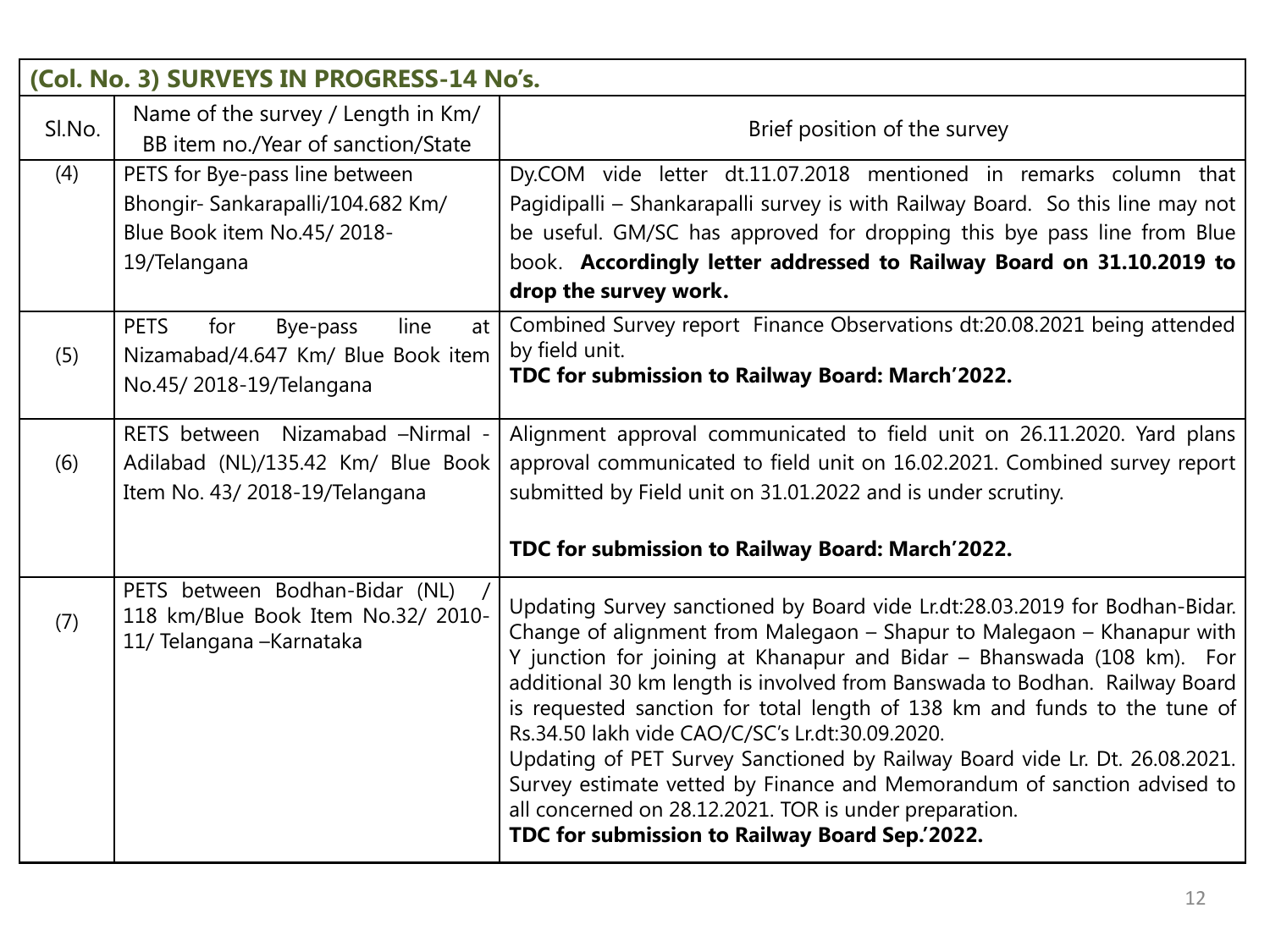|        | (Col. No. 3) SURVEYS IN PROGRESS-14 No's.                                                                         |                                                                                                                                                                                                                                                                                                                                                                                                                                                                                                                                                                                                                                                                                                                     |
|--------|-------------------------------------------------------------------------------------------------------------------|---------------------------------------------------------------------------------------------------------------------------------------------------------------------------------------------------------------------------------------------------------------------------------------------------------------------------------------------------------------------------------------------------------------------------------------------------------------------------------------------------------------------------------------------------------------------------------------------------------------------------------------------------------------------------------------------------------------------|
| SI.No. | Name of the survey / Length in Km/<br>BB item no./Year of sanction/State                                          | Brief position of the survey                                                                                                                                                                                                                                                                                                                                                                                                                                                                                                                                                                                                                                                                                        |
| (4)    | PETS for Bye-pass line between<br>Bhongir- Sankarapalli/104.682 Km/<br>Blue Book item No.45/2018-<br>19/Telangana | Dy.COM vide letter dt.11.07.2018 mentioned in remarks column that<br>Pagidipalli - Shankarapalli survey is with Railway Board. So this line may not<br>be useful. GM/SC has approved for dropping this bye pass line from Blue<br>book. Accordingly letter addressed to Railway Board on 31.10.2019 to<br>drop the survey work.                                                                                                                                                                                                                                                                                                                                                                                     |
| (5)    | <b>PETS</b><br>for<br>line<br>Bye-pass<br>at<br>Nizamabad/4.647 Km/ Blue Book item<br>No.45/2018-19/Telangana     | Combined Survey report Finance Observations dt:20.08.2021 being attended<br>by field unit.<br>TDC for submission to Railway Board: March'2022.                                                                                                                                                                                                                                                                                                                                                                                                                                                                                                                                                                      |
| (6)    | RETS between Nizamabad -Nirmal -<br>Adilabad (NL)/135.42 Km/ Blue Book<br>Item No. 43/2018-19/Telangana           | Alignment approval communicated to field unit on 26.11.2020. Yard plans<br>approval communicated to field unit on 16.02.2021. Combined survey report<br>submitted by Field unit on 31.01.2022 and is under scrutiny.<br>TDC for submission to Railway Board: March'2022.                                                                                                                                                                                                                                                                                                                                                                                                                                            |
| (7)    | PETS between Bodhan-Bidar (NL)<br>118 km/Blue Book Item No.32/ 2010-<br>11/ Telangana - Karnataka                 | Updating Survey sanctioned by Board vide Lr.dt:28.03.2019 for Bodhan-Bidar.<br>Change of alignment from Malegaon - Shapur to Malegaon - Khanapur with<br>Y junction for joining at Khanapur and Bidar - Bhanswada (108 km). For<br>additional 30 km length is involved from Banswada to Bodhan. Railway Board<br>is requested sanction for total length of 138 km and funds to the tune of<br>Rs.34.50 lakh vide CAO/C/SC's Lr.dt:30.09.2020.<br>Updating of PET Survey Sanctioned by Railway Board vide Lr. Dt. 26.08.2021.<br>Survey estimate vetted by Finance and Memorandum of sanction advised to<br>all concerned on 28.12.2021. TOR is under preparation.<br>TDC for submission to Railway Board Sep.'2022. |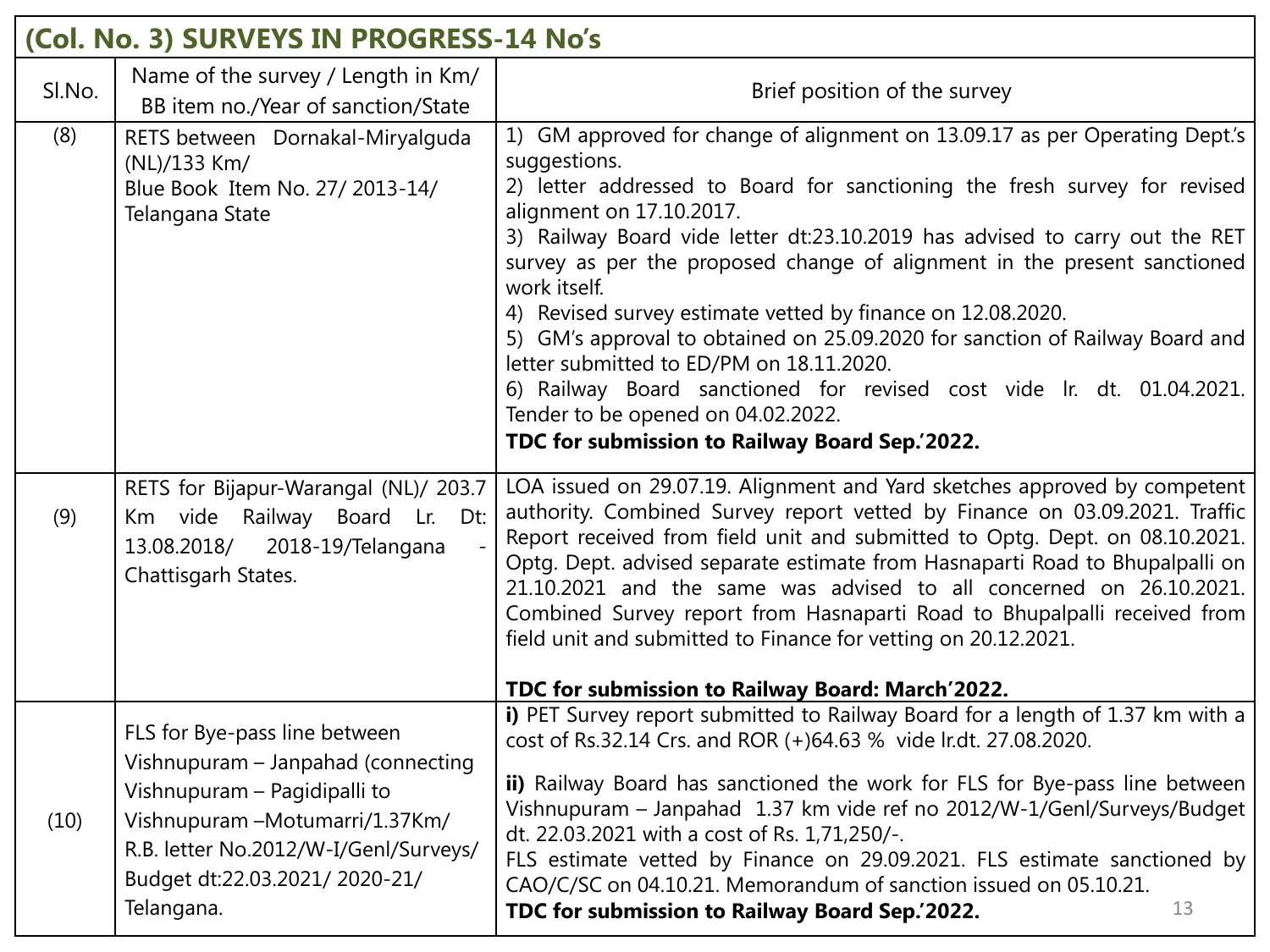|        | (Col. No. 3) SURVEYS IN PROGRESS-14 No's                                                                                                                                                                                       |                                                                                                                                                                                                                                                                                                                                                                                                                                                                                                                                                                                                                                                                                                                                            |  |
|--------|--------------------------------------------------------------------------------------------------------------------------------------------------------------------------------------------------------------------------------|--------------------------------------------------------------------------------------------------------------------------------------------------------------------------------------------------------------------------------------------------------------------------------------------------------------------------------------------------------------------------------------------------------------------------------------------------------------------------------------------------------------------------------------------------------------------------------------------------------------------------------------------------------------------------------------------------------------------------------------------|--|
| SI.No. | Name of the survey / Length in Km/<br>BB item no./Year of sanction/State                                                                                                                                                       | Brief position of the survey                                                                                                                                                                                                                                                                                                                                                                                                                                                                                                                                                                                                                                                                                                               |  |
| (8)    | RETS between Dornakal-Miryalguda<br>(NL)/133 Km/<br>Blue Book Item No. 27/ 2013-14/<br>Telangana State                                                                                                                         | 1) GM approved for change of alignment on 13.09.17 as per Operating Dept's<br>suggestions.<br>2) letter addressed to Board for sanctioning the fresh survey for revised<br>alignment on 17.10.2017.<br>3) Railway Board vide letter dt:23.10.2019 has advised to carry out the RET<br>survey as per the proposed change of alignment in the present sanctioned<br>work itself.<br>4) Revised survey estimate vetted by finance on 12.08.2020.<br>5) GM's approval to obtained on 25.09.2020 for sanction of Railway Board and<br>letter submitted to ED/PM on 18.11.2020.<br>6) Railway Board sanctioned for revised cost vide Ir. dt. 01.04.2021.<br>Tender to be opened on 04.02.2022.<br>TDC for submission to Railway Board Sep.'2022. |  |
| (9)    | RETS for Bijapur-Warangal (NL)/ 203.7<br>Km vide Railway Board Lr. Dt:<br>13.08.2018/<br>2018-19/Telangana<br>Chattisgarh States.                                                                                              | LOA issued on 29.07.19. Alignment and Yard sketches approved by competent<br>authority. Combined Survey report vetted by Finance on 03.09.2021. Traffic<br>Report received from field unit and submitted to Optg. Dept. on 08.10.2021.<br>Optg. Dept. advised separate estimate from Hasnaparti Road to Bhupalpalli on<br>21.10.2021 and the same was advised to all concerned on 26.10.2021.<br>Combined Survey report from Hasnaparti Road to Bhupalpalli received from<br>field unit and submitted to Finance for vetting on 20.12.2021.<br>TDC for submission to Railway Board: March'2022.                                                                                                                                            |  |
| (10)   | FLS for Bye-pass line between<br>Vishnupuram - Janpahad (connecting<br>Vishnupuram - Pagidipalli to<br>Vishnupuram - Motumarri/1.37Km/<br>R.B. letter No.2012/W-I/Genl/Surveys/<br>Budget dt:22.03.2021/2020-21/<br>Telangana. | i) PET Survey report submitted to Railway Board for a length of 1.37 km with a<br>cost of Rs.32.14 Crs. and ROR (+)64.63 % vide lr.dt. 27.08.2020.<br>ii) Railway Board has sanctioned the work for FLS for Bye-pass line between<br>Vishnupuram - Janpahad 1.37 km vide ref no 2012/W-1/Genl/Surveys/Budget<br>dt. 22.03.2021 with a cost of Rs. 1,71,250/-.<br>FLS estimate vetted by Finance on 29.09.2021. FLS estimate sanctioned by<br>CAO/C/SC on 04.10.21. Memorandum of sanction issued on 05.10.21.<br>13<br>TDC for submission to Railway Board Sep.'2022.                                                                                                                                                                      |  |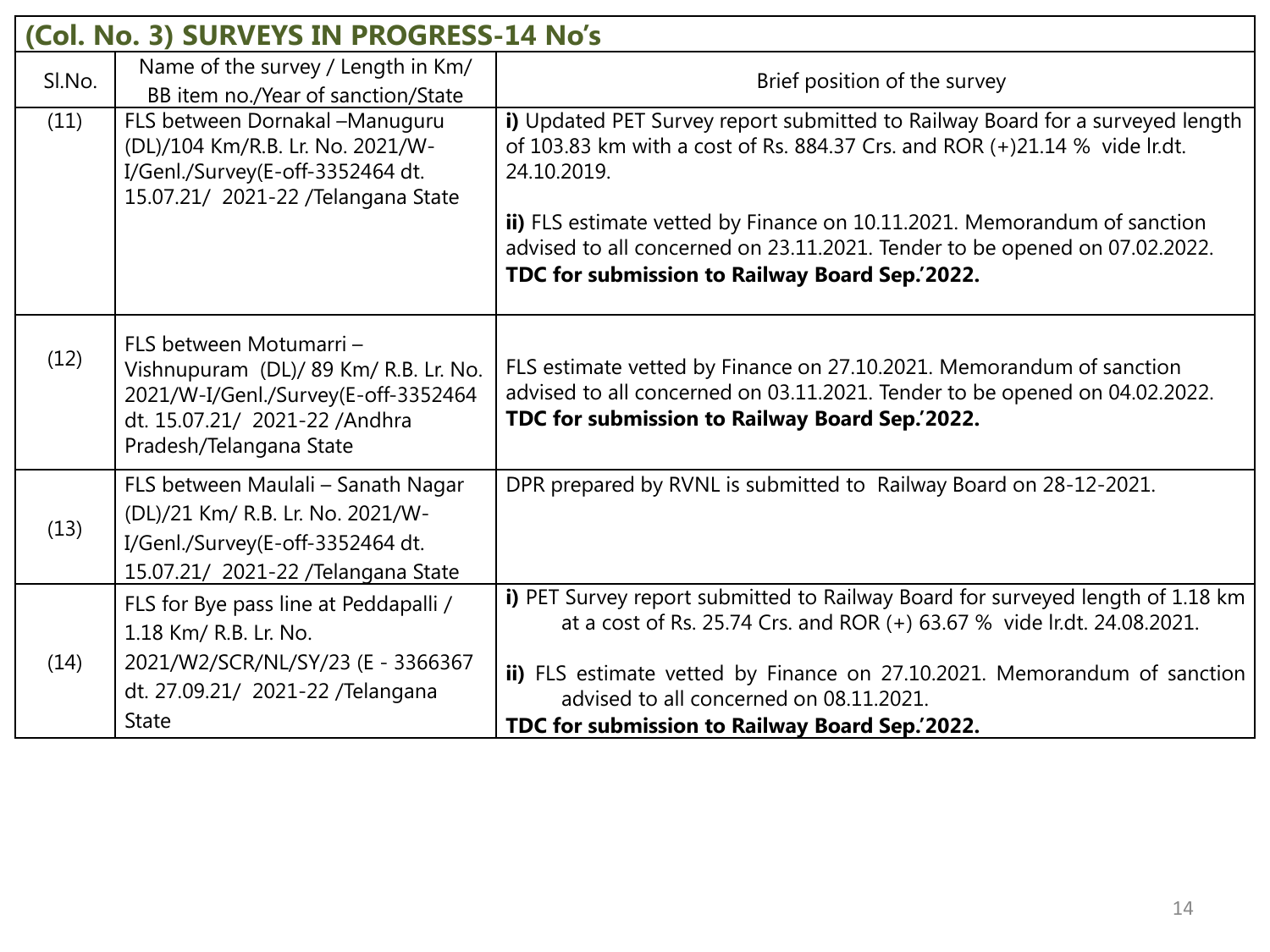| (Col. No. 3) SURVEYS IN PROGRESS-14 No's |                                                                                                                                                                      |                                                                                                                                                                                                                                                                                                                                                                                        |  |  |
|------------------------------------------|----------------------------------------------------------------------------------------------------------------------------------------------------------------------|----------------------------------------------------------------------------------------------------------------------------------------------------------------------------------------------------------------------------------------------------------------------------------------------------------------------------------------------------------------------------------------|--|--|
| Sl.No.                                   | Name of the survey / Length in Km/<br>BB item no./Year of sanction/State                                                                                             | Brief position of the survey                                                                                                                                                                                                                                                                                                                                                           |  |  |
| (11)                                     | FLS between Dornakal-Manuguru<br>(DL)/104 Km/R.B. Lr. No. 2021/W-<br>I/Genl./Survey(E-off-3352464 dt.<br>15.07.21/ 2021-22 /Telangana State                          | i) Updated PET Survey report submitted to Railway Board for a surveyed length<br>of 103.83 km with a cost of Rs. 884.37 Crs. and ROR (+)21.14 % vide lr.dt.<br>24.10.2019.<br>ii) FLS estimate vetted by Finance on 10.11.2021. Memorandum of sanction<br>advised to all concerned on 23.11.2021. Tender to be opened on 07.02.2022.<br>TDC for submission to Railway Board Sep.'2022. |  |  |
| (12)                                     | FLS between Motumarri -<br>Vishnupuram (DL)/ 89 Km/ R.B. Lr. No.<br>2021/W-I/Genl./Survey(E-off-3352464<br>dt. 15.07.21/ 2021-22 / Andhra<br>Pradesh/Telangana State | FLS estimate vetted by Finance on 27.10.2021. Memorandum of sanction<br>advised to all concerned on 03.11.2021. Tender to be opened on 04.02.2022.<br>TDC for submission to Railway Board Sep.'2022.                                                                                                                                                                                   |  |  |
| (13)                                     | FLS between Maulali - Sanath Nagar<br>(DL)/21 Km/ R.B. Lr. No. 2021/W-<br>I/Genl./Survey(E-off-3352464 dt.<br>15.07.21/ 2021-22 /Telangana State                     | DPR prepared by RVNL is submitted to Railway Board on 28-12-2021.                                                                                                                                                                                                                                                                                                                      |  |  |
| (14)                                     | FLS for Bye pass line at Peddapalli /<br>1.18 Km/ R.B. Lr. No.<br>2021/W2/SCR/NL/SY/23 (E - 3366367<br>dt. 27.09.21/ 2021-22 / Telangana<br><b>State</b>             | i) PET Survey report submitted to Railway Board for surveyed length of 1.18 km<br>at a cost of Rs. 25.74 Crs. and ROR (+) 63.67 % vide lr.dt. 24.08.2021.<br>ii) FLS estimate vetted by Finance on 27.10.2021. Memorandum of sanction<br>advised to all concerned on 08.11.2021.<br>TDC for submission to Railway Board Sep.'2022.                                                     |  |  |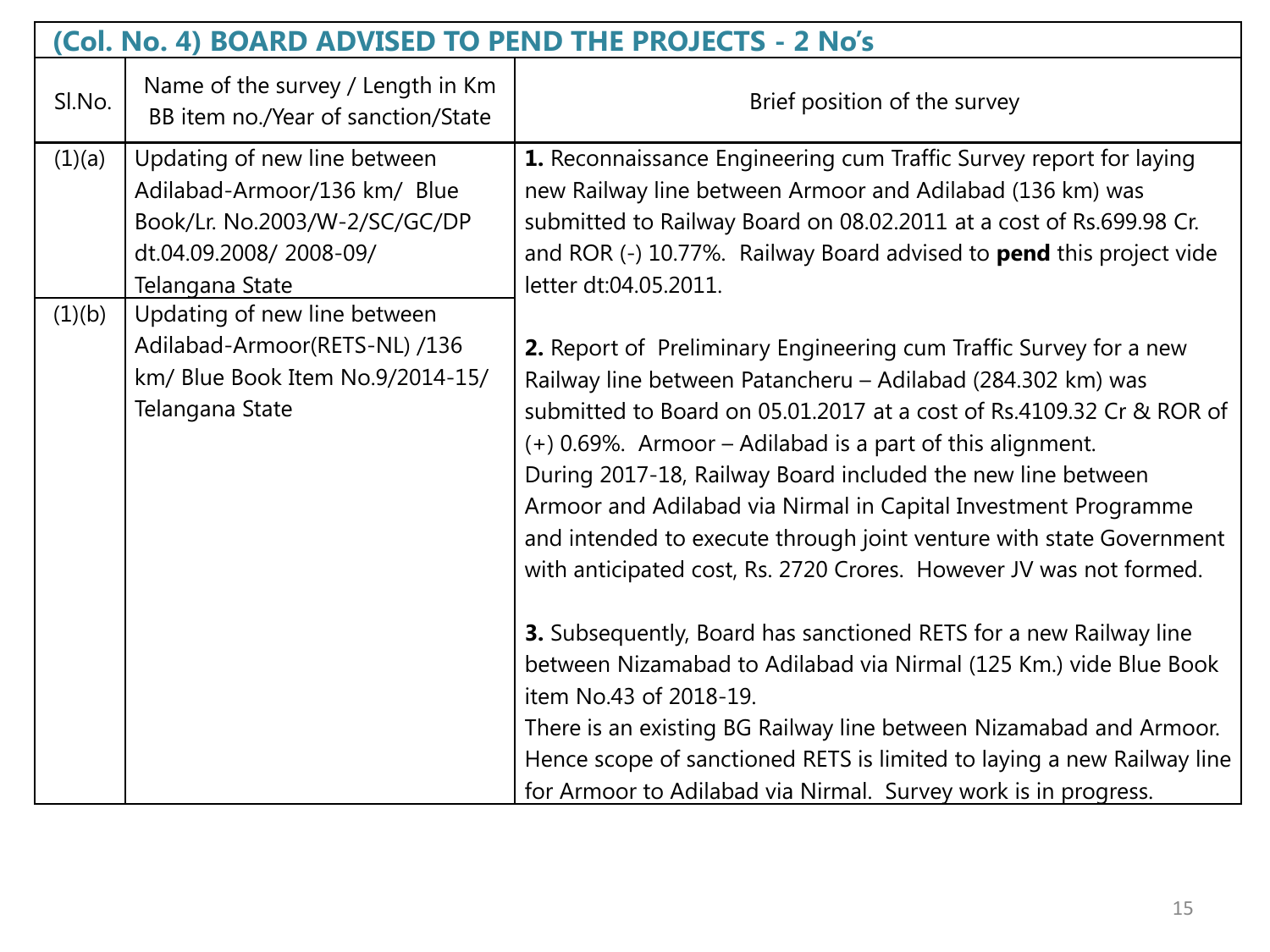| (Col. No. 4) BOARD ADVISED TO PEND THE PROJECTS - 2 No's |                                                                                                                                            |                                                                                                                                                                                                                                                                                                                                                                                                                                                                                                                                                                                                                                                                                                                                                                                                                                                                                                                                           |  |  |
|----------------------------------------------------------|--------------------------------------------------------------------------------------------------------------------------------------------|-------------------------------------------------------------------------------------------------------------------------------------------------------------------------------------------------------------------------------------------------------------------------------------------------------------------------------------------------------------------------------------------------------------------------------------------------------------------------------------------------------------------------------------------------------------------------------------------------------------------------------------------------------------------------------------------------------------------------------------------------------------------------------------------------------------------------------------------------------------------------------------------------------------------------------------------|--|--|
| SI.No.                                                   | Name of the survey / Length in Km<br>BB item no./Year of sanction/State                                                                    | Brief position of the survey                                                                                                                                                                                                                                                                                                                                                                                                                                                                                                                                                                                                                                                                                                                                                                                                                                                                                                              |  |  |
| (1)(a)                                                   | Updating of new line between<br>Adilabad-Armoor/136 km/ Blue<br>Book/Lr. No.2003/W-2/SC/GC/DP<br>dt.04.09.2008/2008-09/<br>Telangana State | 1. Reconnaissance Engineering cum Traffic Survey report for laying<br>new Railway line between Armoor and Adilabad (136 km) was<br>submitted to Railway Board on 08.02.2011 at a cost of Rs.699.98 Cr.<br>and ROR (-) 10.77%. Railway Board advised to <b>pend</b> this project vide<br>letter dt:04.05.2011.                                                                                                                                                                                                                                                                                                                                                                                                                                                                                                                                                                                                                             |  |  |
| (1)(b)                                                   | Updating of new line between<br>Adilabad-Armoor(RETS-NL) /136<br>km/ Blue Book Item No.9/2014-15/<br>Telangana State                       | 2. Report of Preliminary Engineering cum Traffic Survey for a new<br>Railway line between Patancheru - Adilabad (284.302 km) was<br>submitted to Board on 05.01.2017 at a cost of Rs.4109.32 Cr & ROR of<br>(+) 0.69%. Armoor – Adilabad is a part of this alignment.<br>During 2017-18, Railway Board included the new line between<br>Armoor and Adilabad via Nirmal in Capital Investment Programme<br>and intended to execute through joint venture with state Government<br>with anticipated cost, Rs. 2720 Crores. However JV was not formed.<br>3. Subsequently, Board has sanctioned RETS for a new Railway line<br>between Nizamabad to Adilabad via Nirmal (125 Km.) vide Blue Book<br>item No.43 of 2018-19.<br>There is an existing BG Railway line between Nizamabad and Armoor.<br>Hence scope of sanctioned RETS is limited to laying a new Railway line<br>for Armoor to Adilabad via Nirmal. Survey work is in progress. |  |  |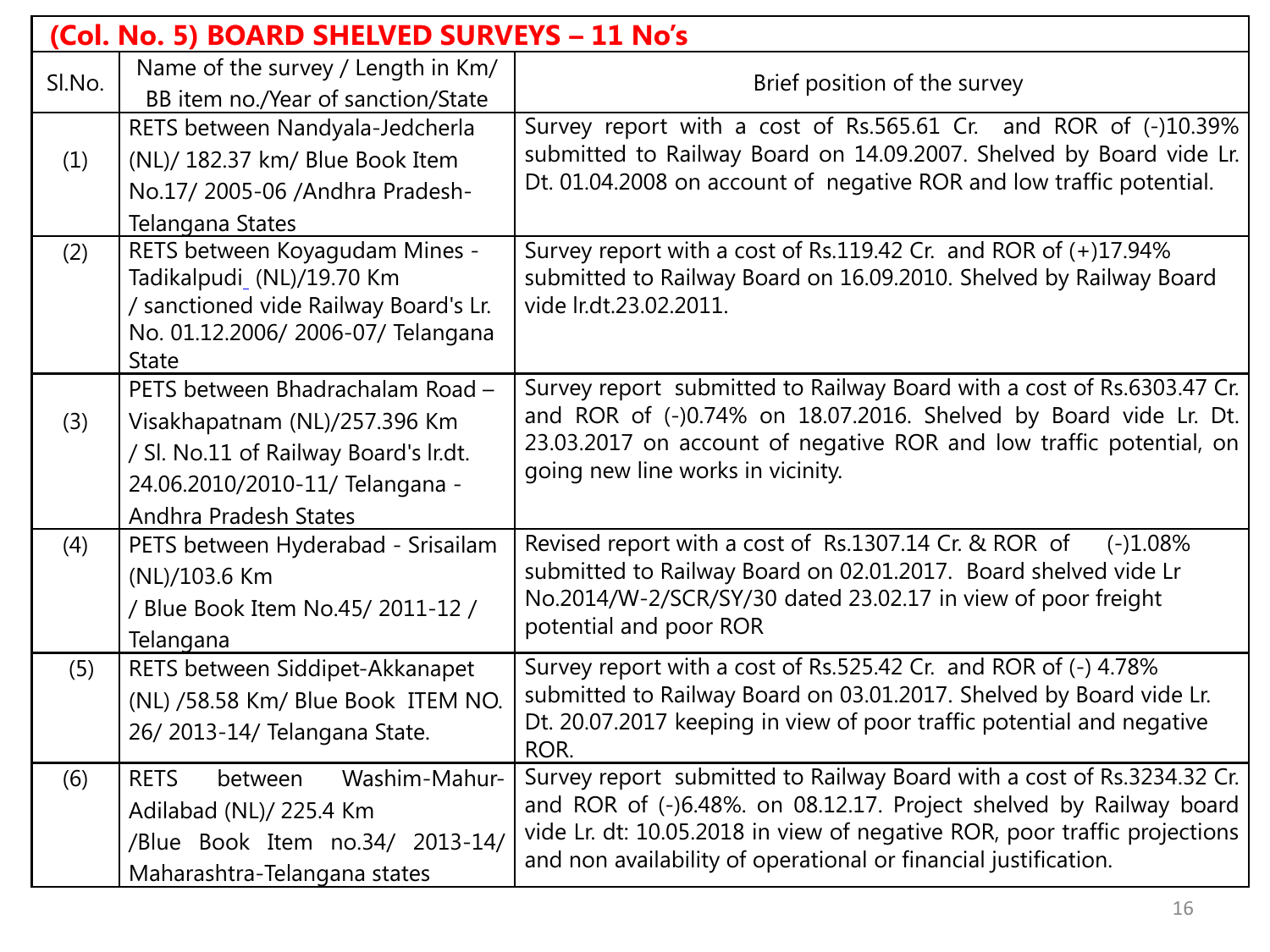| (Col. No. 5) BOARD SHELVED SURVEYS – 11 No's |                                                             |                                                                                                                                              |  |  |
|----------------------------------------------|-------------------------------------------------------------|----------------------------------------------------------------------------------------------------------------------------------------------|--|--|
| SI.No.                                       | Name of the survey / Length in Km/                          | Brief position of the survey                                                                                                                 |  |  |
|                                              | BB item no./Year of sanction/State                          |                                                                                                                                              |  |  |
|                                              | RETS between Nandyala-Jedcherla                             | Survey report with a cost of Rs.565.61 Cr. and ROR of (-)10.39%<br>submitted to Railway Board on 14.09.2007. Shelved by Board vide Lr.       |  |  |
| (1)                                          | (NL)/ 182.37 km/ Blue Book Item                             | Dt. 01.04.2008 on account of negative ROR and low traffic potential.                                                                         |  |  |
|                                              | No.17/ 2005-06 / Andhra Pradesh-                            |                                                                                                                                              |  |  |
|                                              | Telangana States                                            |                                                                                                                                              |  |  |
| (2)                                          | RETS between Koyagudam Mines -<br>Tadikalpudi (NL)/19.70 Km | Survey report with a cost of Rs.119.42 Cr. and ROR of (+)17.94%<br>submitted to Railway Board on 16.09.2010. Shelved by Railway Board        |  |  |
|                                              | / sanctioned vide Railway Board's Lr.                       | vide lr.dt.23.02.2011.                                                                                                                       |  |  |
|                                              | No. 01.12.2006/ 2006-07/ Telangana                          |                                                                                                                                              |  |  |
|                                              | <b>State</b>                                                |                                                                                                                                              |  |  |
|                                              | PETS between Bhadrachalam Road -                            | Survey report submitted to Railway Board with a cost of Rs.6303.47 Cr.                                                                       |  |  |
| (3)                                          | Visakhapatnam (NL)/257.396 Km                               | and ROR of (-)0.74% on 18.07.2016. Shelved by Board vide Lr. Dt.                                                                             |  |  |
|                                              | / Sl. No.11 of Railway Board's Ir.dt.                       | 23.03.2017 on account of negative ROR and low traffic potential, on                                                                          |  |  |
|                                              | 24.06.2010/2010-11/ Telangana -                             | going new line works in vicinity.                                                                                                            |  |  |
|                                              | <b>Andhra Pradesh States</b>                                |                                                                                                                                              |  |  |
| (4)                                          | PETS between Hyderabad - Srisailam                          | Revised report with a cost of Rs.1307.14 Cr. & ROR of<br>$(-)1.08%$                                                                          |  |  |
|                                              | (NL)/103.6 Km                                               | submitted to Railway Board on 02.01.2017. Board shelved vide Lr                                                                              |  |  |
|                                              | / Blue Book Item No.45/ 2011-12 /                           | No.2014/W-2/SCR/SY/30 dated 23.02.17 in view of poor freight<br>potential and poor ROR                                                       |  |  |
|                                              | Telangana                                                   |                                                                                                                                              |  |  |
| (5)                                          | RETS between Siddipet-Akkanapet                             | Survey report with a cost of Rs.525.42 Cr. and ROR of (-) 4.78%                                                                              |  |  |
|                                              | (NL) /58.58 Km/ Blue Book ITEM NO.                          | submitted to Railway Board on 03.01.2017. Shelved by Board vide Lr.<br>Dt. 20.07.2017 keeping in view of poor traffic potential and negative |  |  |
|                                              | 26/2013-14/ Telangana State.                                | ROR.                                                                                                                                         |  |  |
| (6)                                          | Washim-Mahur-<br><b>RETS</b><br>between                     | Survey report submitted to Railway Board with a cost of Rs.3234.32 Cr.                                                                       |  |  |
|                                              | Adilabad (NL)/225.4 Km                                      | and ROR of (-)6.48%. on 08.12.17. Project shelved by Railway board                                                                           |  |  |
|                                              | /Blue Book Item no.34/ 2013-14/                             | vide Lr. dt: 10.05.2018 in view of negative ROR, poor traffic projections                                                                    |  |  |
|                                              | Maharashtra-Telangana states                                | and non availability of operational or financial justification.                                                                              |  |  |